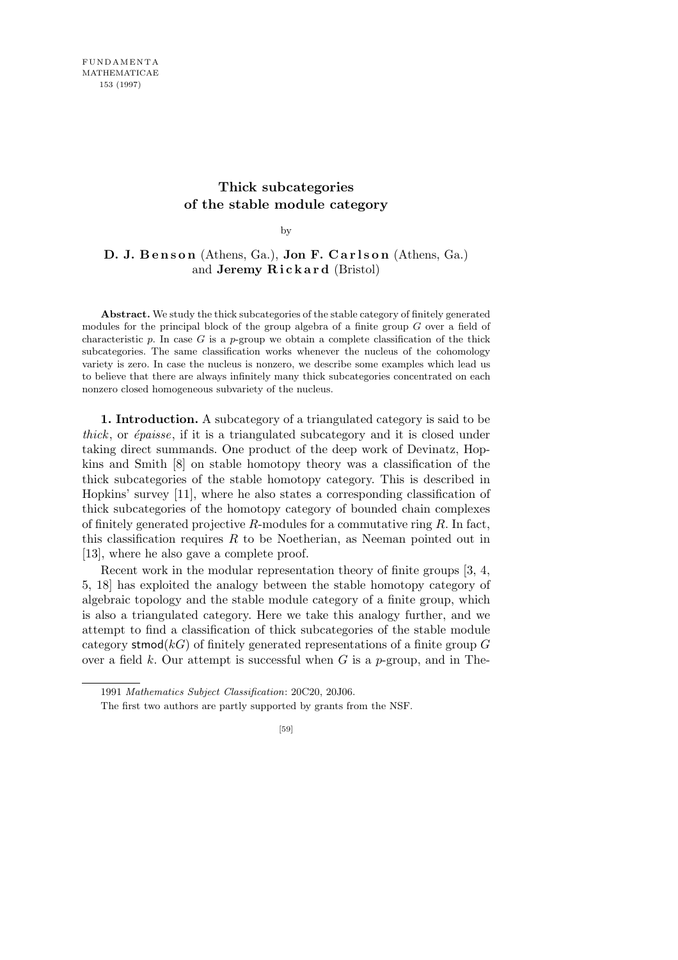# **Thick subcategories of the stable module category**

by

# **D. J. Benson** (Athens, Ga.), **Jon F. Carlson** (Athens, Ga.) and **Jeremy R i c k a r d** (Bristol)

**Abstract.** We study the thick subcategories of the stable category of finitely generated modules for the principal block of the group algebra of a finite group *G* over a field of characteristic  $p$ . In case  $G$  is a  $p$ -group we obtain a complete classification of the thick subcategories. The same classification works whenever the nucleus of the cohomology variety is zero. In case the nucleus is nonzero, we describe some examples which lead us to believe that there are always infinitely many thick subcategories concentrated on each nonzero closed homogeneous subvariety of the nucleus.

**1. Introduction.** A subcategory of a triangulated category is said to be *thick*, or *épaisse*, if it is a triangulated subcategory and it is closed under taking direct summands. One product of the deep work of Devinatz, Hopkins and Smith [8] on stable homotopy theory was a classification of the thick subcategories of the stable homotopy category. This is described in Hopkins' survey [11], where he also states a corresponding classification of thick subcategories of the homotopy category of bounded chain complexes of finitely generated projective *R*-modules for a commutative ring *R*. In fact, this classification requires *R* to be Noetherian, as Neeman pointed out in [13], where he also gave a complete proof.

Recent work in the modular representation theory of finite groups [3, 4, 5, 18] has exploited the analogy between the stable homotopy category of algebraic topology and the stable module category of a finite group, which is also a triangulated category. Here we take this analogy further, and we attempt to find a classification of thick subcategories of the stable module category stmod(*kG*) of finitely generated representations of a finite group *G* over a field *k*. Our attempt is successful when *G* is a *p*-group, and in The-

<sup>1991</sup> *Mathematics Subject Classification*: 20C20, 20J06.

The first two authors are partly supported by grants from the NSF.

<sup>[59]</sup>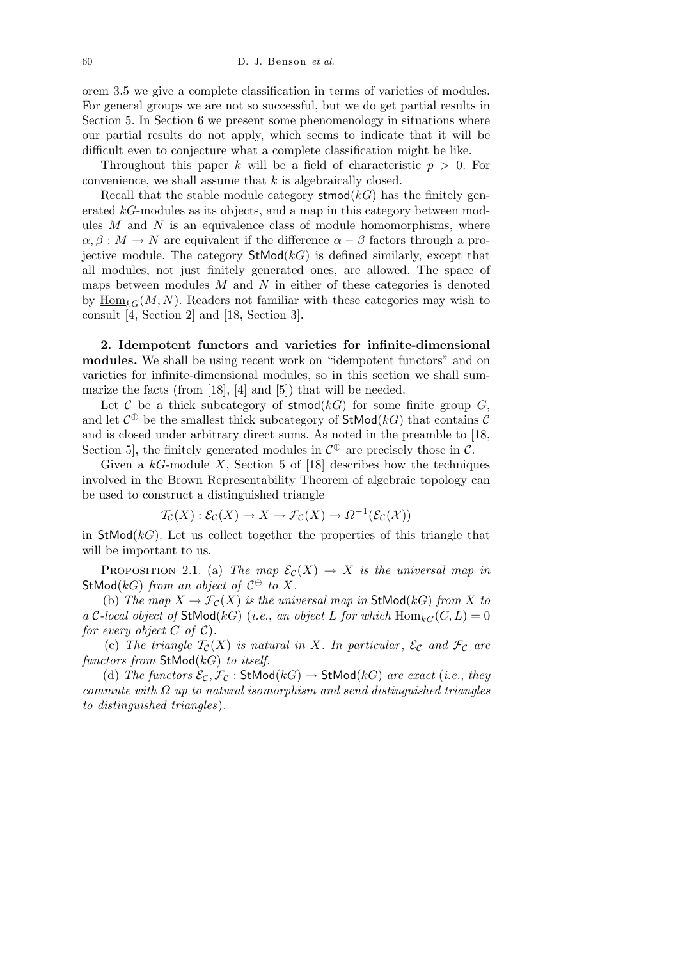orem 3.5 we give a complete classification in terms of varieties of modules. For general groups we are not so successful, but we do get partial results in Section 5. In Section 6 we present some phenomenology in situations where our partial results do not apply, which seems to indicate that it will be difficult even to conjecture what a complete classification might be like.

Throughout this paper *k* will be a field of characteristic *p >* 0. For convenience, we shall assume that *k* is algebraically closed.

Recall that the stable module category  $\mathsf{stmod}(k)$  has the finitely generated *kG*-modules as its objects, and a map in this category between modules *M* and *N* is an equivalence class of module homomorphisms, where  $\alpha, \beta : M \to N$  are equivalent if the difference  $\alpha - \beta$  factors through a projective module. The category  $StMod(kG)$  is defined similarly, except that all modules, not just finitely generated ones, are allowed. The space of maps between modules *M* and *N* in either of these categories is denoted by  $\text{Hom}_{kG}(M, N)$ . Readers not familiar with these categories may wish to consult [4, Section 2] and [18, Section 3].

**2. Idempotent functors and varieties for infinite-dimensional modules.** We shall be using recent work on "idempotent functors" and on varieties for infinite-dimensional modules, so in this section we shall summarize the facts (from [18], [4] and [5]) that will be needed.

Let  $C$  be a thick subcategory of stmod( $kG$ ) for some finite group  $G$ , and let  $C^{\oplus}$  be the smallest thick subcategory of  $\mathsf{StMod}(k)$  that contains  $C$ and is closed under arbitrary direct sums. As noted in the preamble to [18, Section 5, the finitely generated modules in  $\mathcal{C}^{\oplus}$  are precisely those in  $\mathcal{C}$ .

Given a *kG*-module *X*, Section 5 of [18] describes how the techniques involved in the Brown Representability Theorem of algebraic topology can be used to construct a distinguished triangle

$$
\mathcal{T}_{\mathcal{C}}(X): \mathcal{E}_{\mathcal{C}}(X) \to X \to \mathcal{F}_{\mathcal{C}}(X) \to \Omega^{-1}(\mathcal{E}_{\mathcal{C}}(\mathcal{X}))
$$

in  $\mathsf{StMod}(k)$ . Let us collect together the properties of this triangle that will be important to us.

PROPOSITION 2.1. (a) *The map*  $\mathcal{E}_{\mathcal{C}}(X) \to X$  *is the universal map in* StMod( $kG$ ) *from an object of*  $C^{\oplus}$  *to*  $X$ *.* 

(b) *The map*  $X \to \mathcal{F}_{\mathcal{C}}(X)$  *is the universal map in* StMod(*kG*) *from X to a C*-local object of StMod(*kG*) (*i.e.*, *an object L* for which  $\underline{\text{Hom}}_{kG}(C, L) = 0$ *for every object*  $C$  *of*  $C$ *)*.

(c) The triangle  $\mathcal{T}_{\mathcal{C}}(X)$  is natural in X. In particular,  $\mathcal{E}_{\mathcal{C}}$  and  $\mathcal{F}_{\mathcal{C}}$  are *functors from* StMod(*kG*) *to itself.*

(d) *The functors*  $\mathcal{E}_{\mathcal{C}}, \mathcal{F}_{\mathcal{C}}$  : StMod( $kG$ )  $\rightarrow$  StMod( $kG$ ) *are exact* (*i.e.*, *they commute with Ω up to natural isomorphism and send distinguished triangles to distinguished triangles*)*.*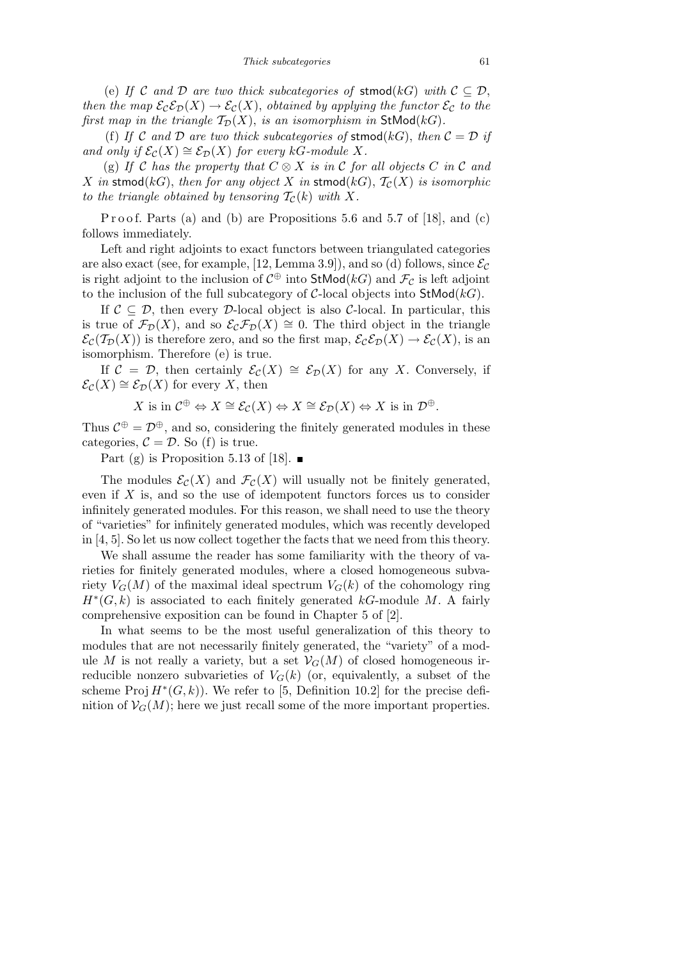(e) *If*  $C$  *and*  $D$  *are two thick subcategories of* **stmod**( $kG$ ) *with*  $C \subseteq D$ , *then the map*  $\mathcal{E}_c \mathcal{E}_D(X) \to \mathcal{E}_c(X)$ , *obtained by applying the functor*  $\mathcal{E}_c$  *to the first map in the triangle*  $\mathcal{T}_{\mathcal{D}}(X)$ *, is an isomorphism in* StMod( $kG$ )*.* 

(f) If C and D are two thick subcategories of stmod( $kG$ ), then  $C = D$  if *and only if*  $\mathcal{E}_{\mathcal{C}}(X) \cong \mathcal{E}_{\mathcal{D}}(X)$  *for every*  $kG$ *-module*  $X$ *.* 

(g) If C has the property that  $C \otimes X$  is in C for all objects C in C and *X* in stmod(*kG*), *then for any object X* in stmod(*kG*),  $\mathcal{T}_{\mathcal{C}}(X)$  *is isomorphic to the triangle obtained by tensoring*  $\mathcal{T}_{\mathcal{C}}(k)$  *with*  $X$ *.* 

P r o o f. Parts (a) and (b) are P ropositions 5.6 and 5.7 of [18], and (c) follows immediately.

Left and right adjoints to exact functors between triangulated categories are also exact (see, for example, [12, Lemma 3.9]), and so (d) follows, since  $\mathcal{E}_{\mathcal{C}}$ is right adjoint to the inclusion of  $C^{\oplus}$  into  $\mathsf{StMod}(k)$  and  $\mathcal{F}_\mathcal{C}$  is left adjoint to the inclusion of the full subcategory of *C*-local objects into StMod(*kG*).

If  $C \subseteq D$ , then every *D*-local object is also *C*-local. In particular, this is true of  $\mathcal{F}_{\mathcal{D}}(X)$ , and so  $\mathcal{E}_{\mathcal{C}}\mathcal{F}_{\mathcal{D}}(X) \cong 0$ . The third object in the triangle  $\mathcal{E}_{\mathcal{C}}(\mathcal{T}_{\mathcal{D}}(X))$  is therefore zero, and so the first map,  $\mathcal{E}_{\mathcal{C}}\mathcal{E}_{\mathcal{D}}(X) \to \mathcal{E}_{\mathcal{C}}(X)$ , is an isomorphism. Therefore (e) is true.

If  $C = D$ , then certainly  $\mathcal{E}_{C}(X) \cong \mathcal{E}_{D}(X)$  for any *X*. Conversely, if  $\mathcal{E}_{\mathcal{C}}(X) \cong \mathcal{E}_{\mathcal{D}}(X)$  for every *X*, then

X is in 
$$
\mathcal{C}^{\oplus} \Leftrightarrow X \cong \mathcal{E}_{\mathcal{C}}(X) \Leftrightarrow X \cong \mathcal{E}_{\mathcal{D}}(X) \Leftrightarrow X
$$
 is in  $\mathcal{D}^{\oplus}$ .

Thus  $\mathcal{C}^{\oplus} = \mathcal{D}^{\oplus}$ , and so, considering the finitely generated modules in these categories,  $C = \mathcal{D}$ . So (f) is true.

Part (g) is Proposition 5.13 of [18].  $\blacksquare$ 

The modules  $\mathcal{E}_{\mathcal{C}}(X)$  and  $\mathcal{F}_{\mathcal{C}}(X)$  will usually not be finitely generated, even if *X* is, and so the use of idempotent functors forces us to consider infinitely generated modules. For this reason, we shall need to use the theory of "varieties" for infinitely generated modules, which was recently developed in  $[4, 5]$ . So let us now collect together the facts that we need from this theory.

We shall assume the reader has some familiarity with the theory of varieties for finitely generated modules, where a closed homogeneous subvariety  $V_G(M)$  of the maximal ideal spectrum  $V_G(k)$  of the cohomology ring  $H^*(G, k)$  is associated to each finitely generated  $kG$ -module *M*. A fairly comprehensive exposition can be found in Chapter 5 of [2].

In what seems to be the most useful generalization of this theory to modules that are not necessarily finitely generated, the "variety" of a module *M* is not really a variety, but a set  $V_G(M)$  of closed homogeneous irreducible nonzero subvarieties of  $V_G(k)$  (or, equivalently, a subset of the scheme Proj  $H^*(G, k)$ ). We refer to [5, Definition 10.2] for the precise definition of  $V_G(M)$ ; here we just recall some of the more important properties.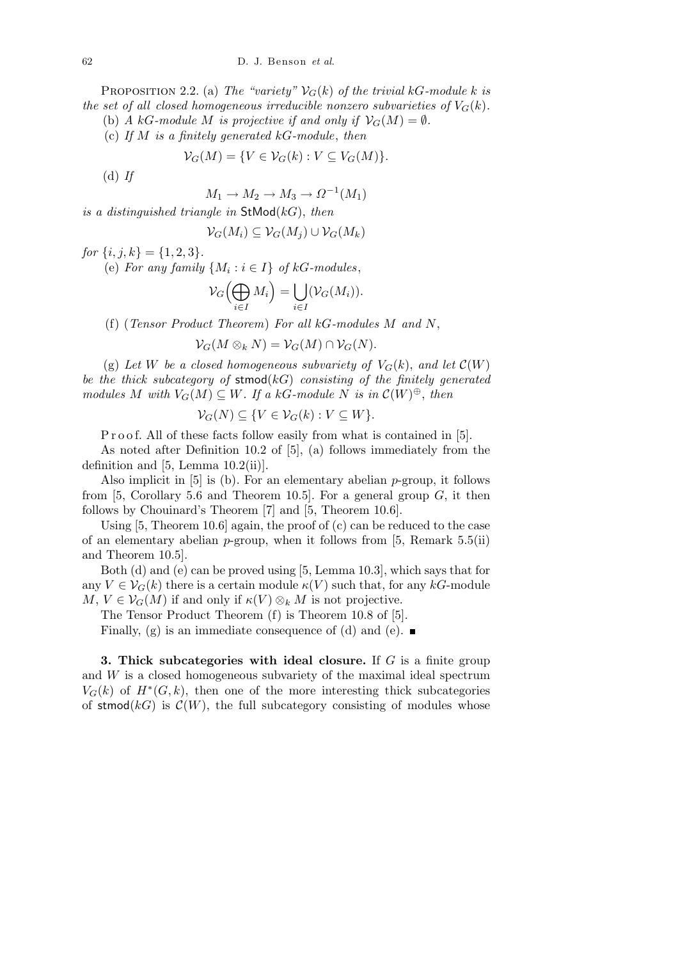PROPOSITION 2.2. (a) *The "variety"*  $V_G(k)$  *of the trivial*  $kG$ *-module*  $k$  *is the set of all closed homogeneous irreducible nonzero subvarieties of*  $V_G(k)$ *.* 

(b) *A*  $kG$ *-module M is projective if and only if*  $\mathcal{V}_G(M) = \emptyset$ *.* 

(c) *If M is a finitely generated kG-module*, *then*

$$
\mathcal{V}_G(M) = \{ V \in \mathcal{V}_G(k) : V \subseteq V_G(M) \}.
$$

(d) *If*

$$
M_1 \to M_2 \to M_3 \to \Omega^{-1}(M_1)
$$

*is a distinguished triangle in* StMod(*kG*), *then*

$$
\mathcal{V}_G(M_i) \subseteq \mathcal{V}_G(M_j) \cup \mathcal{V}_G(M_k)
$$

 $for \{i, j, k\} = \{1, 2, 3\}.$ 

(e) *For any family*  $\{M_i : i \in I\}$  *of*  $kG$ *-modules*,

$$
\mathcal{V}_G\left(\bigoplus_{i\in I}M_i\right)=\bigcup_{i\in I}(\mathcal{V}_G(M_i)).
$$

(f) (*Tensor Product Theorem*) *For all kG-modules M and N*,

$$
\mathcal{V}_G(M \otimes_k N) = \mathcal{V}_G(M) \cap \mathcal{V}_G(N).
$$

(g) Let *W* be a closed homogeneous subvariety of  $V_G(k)$ , and let  $\mathcal{C}(W)$ *be the thick subcategory of* stmod(*kG*) *consisting of the finitely generated modules*  $M$  *with*  $V_G(M) \subseteq W$ *. If a*  $kG$ *-module*  $N$  *is in*  $\mathcal{C}(W)^\oplus$ *, then* 

$$
\mathcal{V}_G(N) \subseteq \{ V \in \mathcal{V}_G(k) : V \subseteq W \}.
$$

P r o o f. All of these facts follow easily from what is contained in [5].

As noted after Definition 10.2 of [5], (a) follows immediately from the definition and  $[5, Lemma 10.2(ii)].$ 

Also implicit in [5] is (b). For an elementary abelian *p*-group, it follows from [5, Corollary 5.6 and Theorem 10.5]. For a general group *G*, it then follows by Chouinard's Theorem [7] and [5, Theorem 10.6].

Using [5, Theorem 10.6] again, the proof of (c) can be reduced to the case of an elementary abelian *p*-group, when it follows from [5, Remark 5.5(ii) and Theorem 10.5].

Both (d) and (e) can be proved using [5, Lemma 10.3], which says that for any  $V \in V_G(k)$  there is a certain module  $\kappa(V)$  such that, for any  $kG$ -module  $M, V \in V_G(M)$  if and only if  $\kappa(V) \otimes_k M$  is not projective.

The Tensor Product Theorem (f) is Theorem 10.8 of [5].

Finally, (g) is an immediate consequence of (d) and (e).  $\blacksquare$ 

**3. Thick subcategories with ideal closure.** If *G* is a finite group and *W* is a closed homogeneous subvariety of the maximal ideal spectrum  $V_G(k)$  of  $H^*(G, k)$ , then one of the more interesting thick subcategories of stmod( $kG$ ) is  $C(W)$ , the full subcategory consisting of modules whose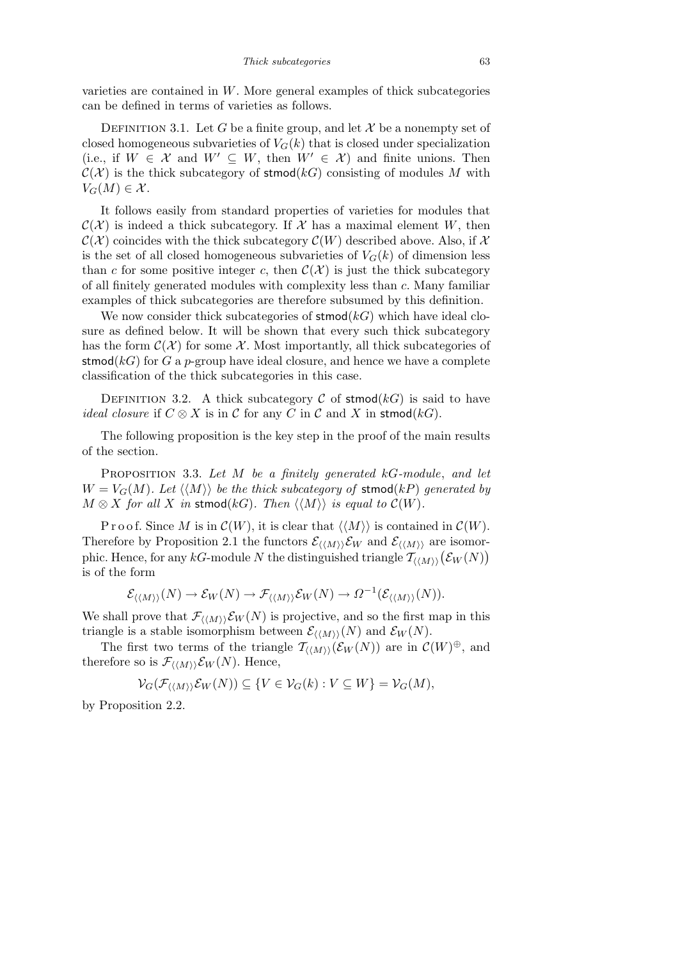varieties are contained in *W*. More general examples of thick subcategories can be defined in terms of varieties as follows.

DEFINITION 3.1. Let *G* be a finite group, and let  $\mathcal X$  be a nonempty set of closed homogeneous subvarieties of  $V_G(k)$  that is closed under specialization (i.e., if  $W \in \mathcal{X}$  and  $W' \subseteq W$ , then  $W' \in \mathcal{X}$ ) and finite unions. Then  $C(X)$  is the thick subcategory of stmod(*kG*) consisting of modules *M* with  $V_G(M) \in \mathcal{X}$ .

It follows easily from standard properties of varieties for modules that  $\mathcal{C}(\mathcal{X})$  is indeed a thick subcategory. If  $\mathcal{X}$  has a maximal element *W*, then  $\mathcal{C}(\mathcal{X})$  coincides with the thick subcategory  $\mathcal{C}(W)$  described above. Also, if X is the set of all closed homogeneous subvarieties of  $V_G(k)$  of dimension less than *c* for some positive integer *c*, then  $\mathcal{C}(\mathcal{X})$  is just the thick subcategory of all finitely generated modules with complexity less than *c*. Many familiar examples of thick subcategories are therefore subsumed by this definition.

We now consider thick subcategories of **stmod**( $kG$ ) which have ideal closure as defined below. It will be shown that every such thick subcategory has the form  $\mathcal{C}(\mathcal{X})$  for some  $\mathcal{X}$ . Most importantly, all thick subcategories of stmod( $kG$ ) for G a *p*-group have ideal closure, and hence we have a complete classification of the thick subcategories in this case.

DEFINITION 3.2. A thick subcategory  $\mathcal C$  of stmod( $kG$ ) is said to have *ideal closure* if  $C \otimes X$  is in  $C$  for any  $C$  in  $C$  and  $X$  in stmod( $kG$ ).

The following proposition is the key step in the proof of the main results of the section.

Proposition 3.3. *Let M be a finitely generated kG-module*, *and let*  $W = V_G(M)$ *. Let*  $\langle \langle M \rangle \rangle$  *be the thick subcategory of* stmod(*kP*) *generated by*  $M \otimes X$  *for all*  $X$  *in* stmod(*kG*)*. Then*  $\langle \langle M \rangle \rangle$  *is equal to*  $C(W)$ *.* 

P r o o f. Since M is in  $\mathcal{C}(W)$ , it is clear that  $\langle\langle M \rangle\rangle$  is contained in  $\mathcal{C}(W)$ . Therefore by Proposition 2.1 the functors  $\mathcal{E}_{\langle \langle M \rangle \rangle} \mathcal{E}_W$  and  $\mathcal{E}_{\langle \langle M \rangle \rangle}$  are isomorphic. Hence, for any *kG*-module *N* the distinguished triangle  $\mathcal{T}_{\langle \langle M \rangle \rangle}$  ( $\mathcal{E}_W(N)$ ) phic. Hence, for any *kG*-module *N* the distinguished triangle  $\mathcal{T}_{\langle \langle M \rangle \rangle}$  ( $\mathcal{E}_W(N)$ ) is of the form

$$
\mathcal{E}_{\langle\langle M\rangle\rangle}(N)\to\mathcal{E}_W(N)\to\mathcal{F}_{\langle\langle M\rangle\rangle}\mathcal{E}_W(N)\to\Omega^{-1}(\mathcal{E}_{\langle\langle M\rangle\rangle}(N)).
$$

We shall prove that  $\mathcal{F}_{\langle \langle M \rangle \rangle} \mathcal{E}_W(N)$  is projective, and so the first map in this triangle is a stable isomorphism between  $\mathcal{E}_{\langle \langle M \rangle \rangle}(N)$  and  $\mathcal{E}_W(N)$ .

The first two terms of the triangle  $\mathcal{T}_{\langle\langle M\rangle\rangle}(\mathcal{E}_W(N))$  are in  $\mathcal{C}(W)^{\oplus}$ , and therefore so is  $\mathcal{F}_{\langle\langle M\rangle\rangle}\mathcal{E}_W(N)$ . Hence,

$$
\mathcal{V}_G(\mathcal{F}_{\langle \langle M \rangle \rangle} \mathcal{E}_W(N)) \subseteq \{ V \in \mathcal{V}_G(k) : V \subseteq W \} = \mathcal{V}_G(M),
$$

by Proposition 2.2.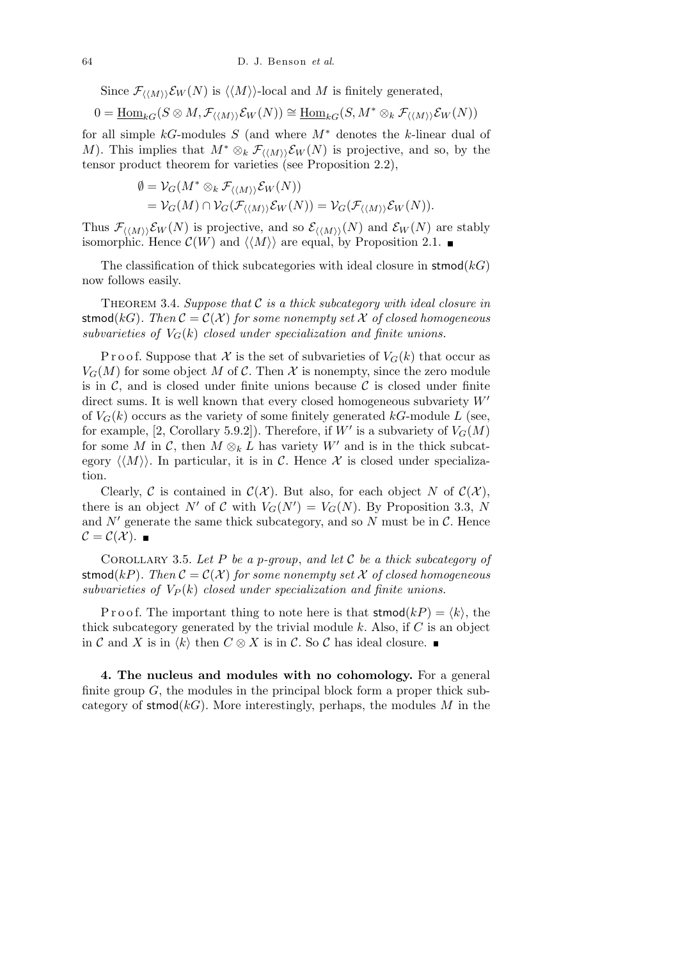Since  $\mathcal{F}_{\langle \langle M \rangle \rangle} \mathcal{E}_W(N)$  is  $\langle \langle M \rangle \rangle$ -local and *M* is finitely generated,

$$
0 = \underline{\mathrm{Hom}}_{kG}(S \otimes M, \mathcal{F}_{\langle \langle M \rangle \rangle} \mathcal{E}_W(N)) \cong \underline{\mathrm{Hom}}_{kG}(S, M^* \otimes_k \mathcal{F}_{\langle \langle M \rangle \rangle} \mathcal{E}_W(N))
$$

for all simple *kG*-modules *S* (and where *M<sup>∗</sup>* denotes the *k*-linear dual of *M*). This implies that  $M^* \otimes_k \mathcal{F}_{\langle \langle M \rangle \rangle} \mathcal{E}_W(N)$  is projective, and so, by the tensor product theorem for varieties (see Proposition 2.2),

$$
\emptyset = \mathcal{V}_G(M^* \otimes_k \mathcal{F}_{\langle \langle M \rangle \rangle} \mathcal{E}_W(N)) \n= \mathcal{V}_G(M) \cap \mathcal{V}_G(\mathcal{F}_{\langle \langle M \rangle \rangle} \mathcal{E}_W(N)) = \mathcal{V}_G(\mathcal{F}_{\langle \langle M \rangle \rangle} \mathcal{E}_W(N)).
$$

Thus  $\mathcal{F}_{\langle\langle M\rangle\rangle}\mathcal{E}_W(N)$  is projective, and so  $\mathcal{E}_{\langle\langle M\rangle\rangle}(N)$  and  $\mathcal{E}_W(N)$  are stably isomorphic. Hence  $\mathcal{C}(W)$  and  $\langle \langle M \rangle \rangle$  are equal, by Proposition 2.1.

The classification of thick subcategories with ideal closure in  $\mathsf{stmod}(k)$ now follows easily.

Theorem 3.4. *Suppose that C is a thick subcategory with ideal closure in* stmod( $kG$ ). Then  $C = C(X)$  for some nonempty set X of closed homogeneous *subvarieties of*  $V_G(k)$  *closed under specialization and finite unions.* 

P r o o f. Suppose that  $\mathcal X$  is the set of subvarieties of  $V_G(k)$  that occur as  $V_G(M)$  for some object M of C. Then X is nonempty, since the zero module is in  $\mathcal{C}$ , and is closed under finite unions because  $\mathcal{C}$  is closed under finite direct sums. It is well known that every closed homogeneous subvariety  $W'$ of  $V_G(k)$  occurs as the variety of some finitely generated  $kG$ -module  $L$  (see, for example, [2, Corollary 5.9.2]). Therefore, if  $W'$  is a subvariety of  $V_G(M)$ for some *M* in *C*, then  $M \otimes_k L$  has variety  $W'$  and is in the thick subcategory  $\langle\langle M \rangle\rangle$ . In particular, it is in C. Hence X is closed under specialization.

Clearly,  $\mathcal{C}$  is contained in  $\mathcal{C}(\mathcal{X})$ . But also, for each object *N* of  $\mathcal{C}(\mathcal{X})$ , there is an object *N'* of *C* with  $V_G(N') = V_G(N)$ . By Proposition 3.3, *N* and  $N'$  generate the same thick subcategory, and so  $N$  must be in  $\mathcal{C}$ . Hence  $\mathcal{C} = \mathcal{C}(\mathcal{X})$ .

Corollary 3.5. *Let P be a p-group*, *and let C be a thick subcategory of* stmod( $kP$ ). Then  $C = C(X)$  for some nonempty set X of closed homogeneous *subvarieties of*  $V_P(k)$  *closed under specialization and finite unions.* 

P r o o f. The important thing to note here is that  $\mathsf{stmod}(k) = \langle k \rangle$ , the thick subcategory generated by the trivial module *k*. Also, if *C* is an object in *C* and *X* is in  $\langle k \rangle$  then *C* ⊗ *X* is in *C*. So *C* has ideal closure. ■

**4. The nucleus and modules with no cohomology.** For a general finite group *G*, the modules in the principal block form a proper thick subcategory of stmod( $kG$ ). More interestingly, perhaps, the modules *M* in the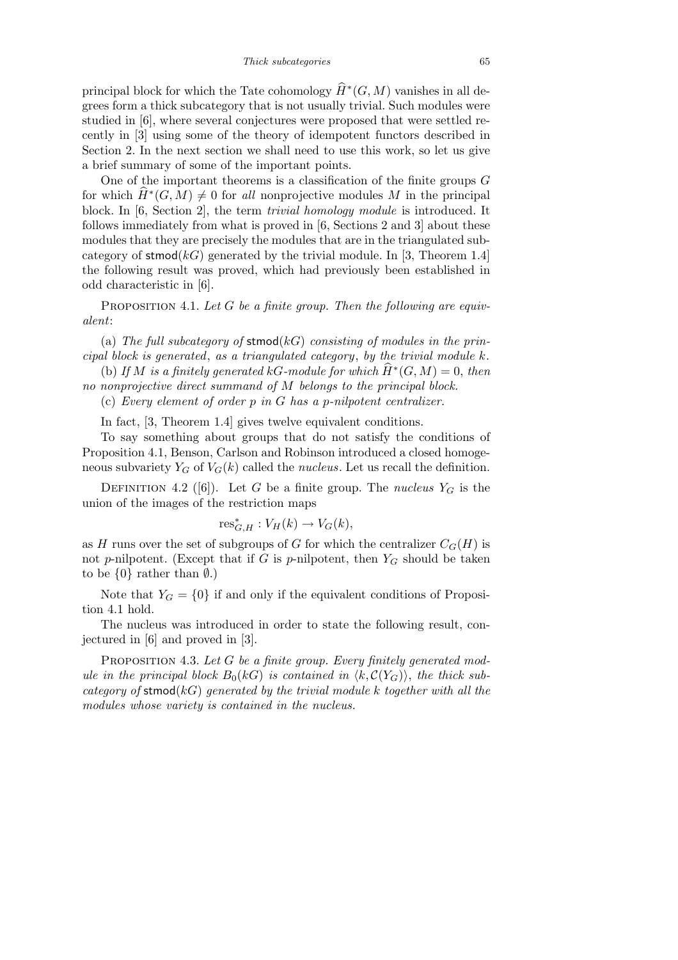principal block for which the Tate cohomology  $\widehat{H}^*(G,M)$  vanishes in all degrees form a thick subcategory that is not usually trivial. Such modules were studied in [6], where several conjectures were proposed that were settled recently in [3] using some of the theory of idempotent functors described in Section 2. In the next section we shall need to use this work, so let us give a brief summary of some of the important points.

One of the important theorems is a classification of the finite groups *G* for which  $\hat{H}^*(G, M) \neq 0$  for *all* nonprojective modules *M* in the principal block. In [6, Section 2], the term *trivial homology module* is introduced. It follows immediately from what is proved in [6, Sections 2 and 3] about these modules that they are precisely the modules that are in the triangulated subcategory of stmod( $k)$  generated by the trivial module. In [3, Theorem 1.4] the following result was proved, which had previously been established in odd characteristic in [6].

PROPOSITION 4.1. Let G be a finite group. Then the following are equiv*alent*:

(a) *The full subcategory of* stmod(*kG*) *consisting of modules in the principal block is generated*, *as a triangulated category*, *by the trivial module k.*

(b) If *M* is a finitely generated kG-module for which  $\widehat{H}^*(G, M) = 0$ , then *no nonprojective direct summand of M belongs to the principal block.*

(c) *Every element of order p in G has a p-nilpotent centralizer.*

In fact, [3, Theorem 1.4] gives twelve equivalent conditions.

To say something about groups that do not satisfy the conditions of Proposition 4.1, Benson, Carlson and Robinson introduced a closed homogeneous subvariety  $Y_G$  of  $V_G(k)$  called the *nucleus*. Let us recall the definition.

DEFINITION 4.2 ([6]). Let *G* be a finite group. The *nucleus*  $Y_G$  is the union of the images of the restriction maps

$$
\operatorname{res}_{G,H}^* : V_H(k) \to V_G(k),
$$

as *H* runs over the set of subgroups of *G* for which the centralizer  $C_G(H)$  is not *p*-nilpotent. (Except that if  $G$  is *p*-nilpotent, then  $Y_G$  should be taken to be  $\{0\}$  rather than  $\emptyset$ .)

Note that  $Y_G = \{0\}$  if and only if the equivalent conditions of Proposition 4.1 hold.

The nucleus was introduced in order to state the following result, conjectured in [6] and proved in [3].

PROPOSITION 4.3. Let G be a finite group. Every finitely generated mod*ule in the principal block*  $B_0(k)$  *is contained in*  $\langle k, \mathcal{C}(Y_G) \rangle$ , the thick sub*category of* stmod(*kG*) *generated by the trivial module k together with all the modules whose variety is contained in the nucleus.*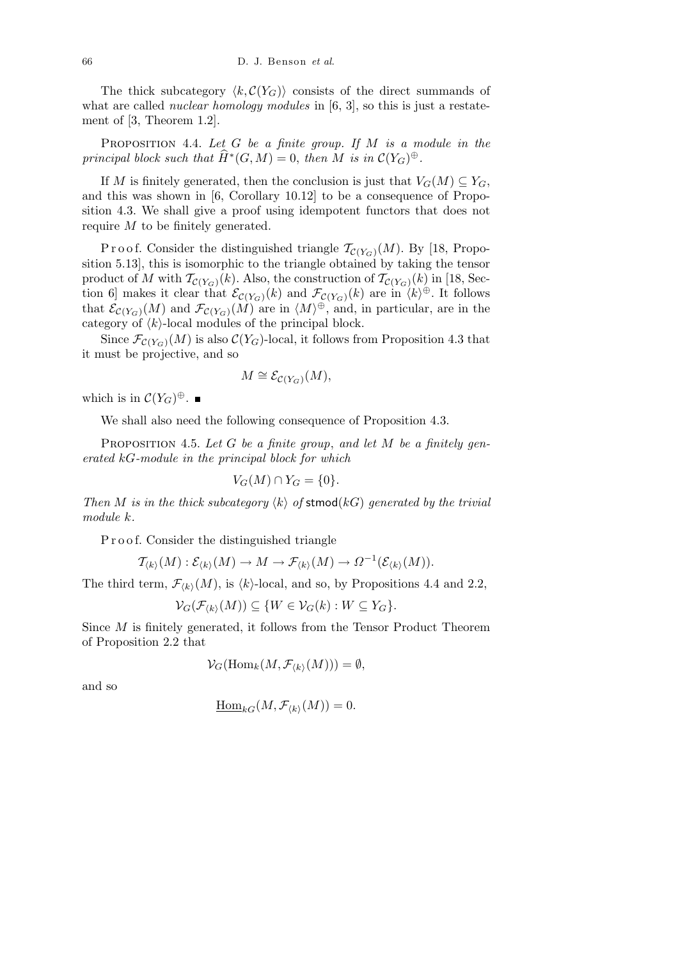The thick subcategory  $\langle k, \mathcal{C}(Y_G) \rangle$  consists of the direct summands of what are called *nuclear homology modules* in [6, 3], so this is just a restatement of [3, Theorem 1.2].

Proposition 4.4. *Let G be a finite group. If M is a module in the principal block such that*  $\widehat{H}^*(G, M) = 0$ , *then*  $\overline{M}$  *is in*  $\mathcal{C}(Y_G)^\oplus$ .

If *M* is finitely generated, then the conclusion is just that  $V_G(M) \subseteq Y_G$ , and this was shown in [6, Corollary 10.12] to be a consequence of Proposition 4.3. We shall give a proof using idempotent functors that does not require *M* to be finitely generated.

Proof. Consider the distinguished triangle  $\mathcal{T}_{\mathcal{C}(Y_G)}(M)$ . By [18, Proposition 5.13], this is isomorphic to the triangle obtained by taking the tensor product of *M* with  $\mathcal{T}_{\mathcal{C}(Y_G)}(k)$ . Also, the construction of  $\mathcal{T}_{\mathcal{C}(Y_G)}(k)$  in [18, Section 6] makes it clear that  $\mathcal{E}_{\mathcal{C}(Y_G)}(k)$  and  $\mathcal{F}_{\mathcal{C}(Y_G)}(k)$  are in  $\langle k \rangle^{\oplus}$ . It follows that  $\mathcal{E}_{\mathcal{C}(Y_G)}(M)$  and  $\mathcal{F}_{\mathcal{C}(Y_G)}(M)$  are in  $\langle M \rangle^{\oplus}$ , and, in particular, are in the category of  $\langle k \rangle$ -local modules of the principal block.

Since  $\mathcal{F}_{\mathcal{C}(Y_G)}(M)$  is also  $\mathcal{C}(Y_G)$ -local, it follows from Proposition 4.3 that it must be projective, and so

$$
M \cong \mathcal{E}_{\mathcal{C}(Y_G)}(M),
$$

which is in  $C(Y_G)^{\oplus}$ .

We shall also need the following consequence of Proposition 4.3.

Proposition 4.5. *Let G be a finite group*, *and let M be a finitely generated kG-module in the principal block for which*

$$
V_G(M) \cap Y_G = \{0\}.
$$

*Then M is in the thick subcategory*  $\langle k \rangle$  *of* stmod( $kG$ ) *generated by the trivial module k.*

P r o o f. Consider the distinguished triangle

$$
\mathcal{T}_{\langle k \rangle}(M): \mathcal{E}_{\langle k \rangle}(M) \to M \to \mathcal{F}_{\langle k \rangle}(M) \to \Omega^{-1}(\mathcal{E}_{\langle k \rangle}(M)).
$$

The third term,  $\mathcal{F}_{\langle k \rangle}(M)$ , is  $\langle k \rangle$ -local, and so, by Propositions 4.4 and 2.2,

$$
\mathcal{V}_G(\mathcal{F}_{\langle k \rangle}(M)) \subseteq \{W \in \mathcal{V}_G(k) : W \subseteq Y_G\}.
$$

Since *M* is finitely generated, it follows from the Tensor Product Theorem of Proposition 2.2 that

$$
\mathcal{V}_G(\mathrm{Hom}_k(M,\mathcal{F}_{\langle k\rangle}(M)))=\emptyset,
$$

and so

$$
\underline{\operatorname{Hom}}_{kG}(M,\mathcal{F}_{\langle k\rangle}(M))=0.
$$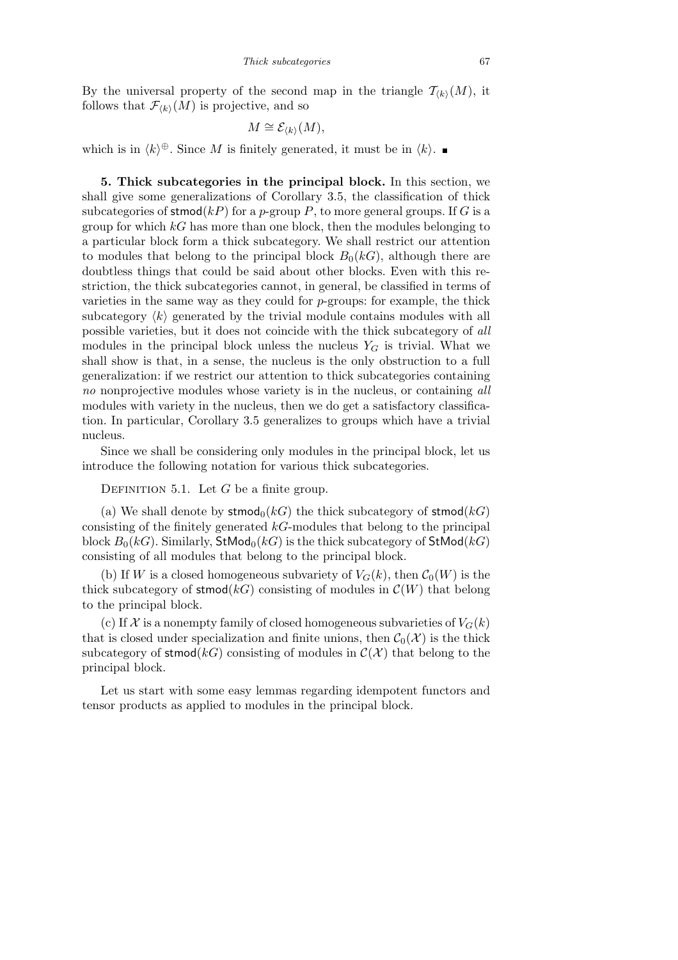By the universal property of the second map in the triangle  $\mathcal{T}_{(k)}(M)$ , it follows that  $\mathcal{F}_{\langle k \rangle}(M)$  is projective, and so

$$
M \cong \mathcal{E}_{\langle k \rangle}(M),
$$

which is in  $\langle k \rangle^{\oplus}$ . Since *M* is finitely generated, it must be in  $\langle k \rangle$ .

**5. Thick subcategories in the principal block.** In this section, we shall give some generalizations of Corollary 3.5, the classification of thick subcategories of stmod( $kP$ ) for a *p*-group *P*, to more general groups. If *G* is a group for which *kG* has more than one block, then the modules belonging to a particular block form a thick subcategory. We shall restrict our attention to modules that belong to the principal block  $B_0(k)$ , although there are doubtless things that could be said about other blocks. Even with this restriction, the thick subcategories cannot, in general, be classified in terms of varieties in the same way as they could for *p*-groups: for example, the thick subcategory  $\langle k \rangle$  generated by the trivial module contains modules with all possible varieties, but it does not coincide with the thick subcategory of *all* modules in the principal block unless the nucleus  $Y_G$  is trivial. What we shall show is that, in a sense, the nucleus is the only obstruction to a full generalization: if we restrict our attention to thick subcategories containing *no* nonprojective modules whose variety is in the nucleus, or containing *all* modules with variety in the nucleus, then we do get a satisfactory classification. In particular, Corollary 3.5 generalizes to groups which have a trivial nucleus.

Since we shall be considering only modules in the principal block, let us introduce the following notation for various thick subcategories.

DEFINITION 5.1. Let *G* be a finite group.

(a) We shall denote by  $\mathsf{stmod}_0(k)$  the thick subcategory of  $\mathsf{stmod}(k)$ consisting of the finitely generated *kG*-modules that belong to the principal block  $B_0(k)$ . Similarly,  $\mathsf{StMod}_0(k)$  is the thick subcategory of  $\mathsf{StMod}(k)$ consisting of all modules that belong to the principal block.

(b) If *W* is a closed homogeneous subvariety of  $V_G(k)$ , then  $C_0(W)$  is the thick subcategory of stmod $(k)$  consisting of modules in  $\mathcal{C}(W)$  that belong to the principal block.

(c) If  $\mathcal X$  is a nonempty family of closed homogeneous subvarieties of  $V_G(k)$ that is closed under specialization and finite unions, then  $C_0(\mathcal{X})$  is the thick subcategory of stmod( $kG$ ) consisting of modules in  $\mathcal{C}(\mathcal{X})$  that belong to the principal block.

Let us start with some easy lemmas regarding idempotent functors and tensor products as applied to modules in the principal block.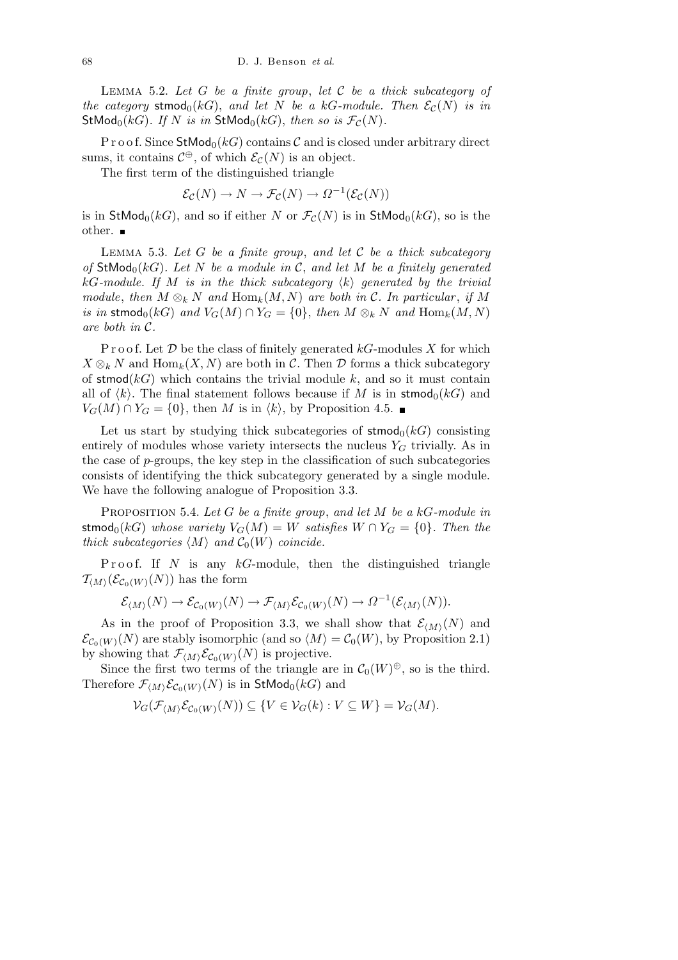Lemma 5.2. *Let G be a finite group*, *let C be a thick subcategory of the category* stmod<sub>0</sub>(*kG*), *and let N be a kG-module. Then*  $\mathcal{E}_{\mathcal{C}}(N)$  *is in* StMod<sub>0</sub>( $kG$ ). If N is in StMod<sub>0</sub>( $kG$ ), then so is  $\mathcal{F}_{\mathcal{C}}(N)$ .

P r o o f. Since  $\mathsf{StMod}_0(kG)$  contains  $\mathcal C$  and is closed under arbitrary direct sums, it contains  $C^{\oplus}$ , of which  $\mathcal{E}_{\mathcal{C}}(N)$  is an object.

The first term of the distinguished triangle

$$
\mathcal{E}_{\mathcal{C}}(N) \to N \to \mathcal{F}_{\mathcal{C}}(N) \to \Omega^{-1}(\mathcal{E}_{\mathcal{C}}(N))
$$

is in  $\mathsf{StMod}_0(kG)$ , and so if either *N* or  $\mathcal{F}_{\mathcal{C}}(N)$  is in  $\mathsf{StMod}_0(kG)$ , so is the other.

Lemma 5.3. *Let G be a finite group*, *and let C be a thick subcategory of* StMod<sub>0</sub>( $kG$ ). Let N be a module in C, and let M be a finitely generated  $kG$ *-module. If M is in the thick subcategory*  $\langle k \rangle$  *generated by the trivial module*, *then*  $M \otimes_k N$  *and*  $\text{Hom}_k(M, N)$  *are both in*  $\mathcal{C}$ *. In particular, if*  $M$ *is in* stmod<sub>0</sub>(*kG*) *and*  $V_G(M) \cap Y_G = \{0\}$ , *then*  $M \otimes_k N$  *and*  $\text{Hom}_k(M, N)$ *are both in C.*

Proof. Let  $D$  be the class of finitely generated  $kG$ -modules  $X$  for which  $X \otimes_k N$  and  $\text{Hom}_k(X, N)$  are both in *C*. Then *D* forms a thick subcategory of stmod $(k)$  which contains the trivial module  $k$ , and so it must contain all of  $\langle k \rangle$ . The final statement follows because if *M* is in stmod<sub>0</sub>( $kG$ ) and *V<sub>G</sub>*(*M*) ∩ *Y<sub>G</sub>* = {0}, then *M* is in  $\langle k \rangle$ , by Proposition 4.5. ■

Let us start by studying thick subcategories of  $\mathsf{stmod}_0(k)$  consisting entirely of modules whose variety intersects the nucleus  $Y_G$  trivially. As in the case of *p*-groups, the key step in the classification of such subcategories consists of identifying the thick subcategory generated by a single module. We have the following analogue of Proposition 3.3.

Proposition 5.4. *Let G be a finite group*, *and let M be a kG-module in*  ${\bf stmod}_0(kG)$  *whose variety*  $V_G(M) = W$  *satisfies*  $W \cap Y_G = \{0\}$ *. Then the thick subcategories*  $\langle M \rangle$  *and*  $C_0(W)$  *coincide.* 

Proof. If  $N$  is any  $kG$ -module, then the distinguished triangle  $\mathcal{T}_{\langle M \rangle}(\mathcal{E}_{\mathcal{C}_0(W)}(N))$  has the form

$$
\mathcal{E}_{\langle M\rangle}(N) \to \mathcal{E}_{\mathcal{C}_0(W)}(N) \to \mathcal{F}_{\langle M\rangle}\mathcal{E}_{\mathcal{C}_0(W)}(N) \to \Omega^{-1}(\mathcal{E}_{\langle M\rangle}(N)).
$$

As in the proof of Proposition 3.3, we shall show that  $\mathcal{E}_{(M)}(N)$  and  $\mathcal{E}_{\mathcal{C}_0(W)}(N)$  are stably isomorphic (and so  $\langle M \rangle = \mathcal{C}_0(W)$ , by Proposition 2.1) by showing that  $\mathcal{F}_{\langle M \rangle} \mathcal{E}_{\mathcal{C}_0(W)}(N)$  is projective.

Since the first two terms of the triangle are in  $C_0(W)^{\oplus}$ , so is the third. Therefore  $\mathcal{F}_{\langle M \rangle} \mathcal{E}_{\mathcal{C}_0(W)}(N)$  is in  $\mathsf{StMod}_0(kG)$  and

$$
\mathcal{V}_G(\mathcal{F}_{\langle M \rangle} \mathcal{E}_{\mathcal{C}_0(W)}(N)) \subseteq \{ V \in \mathcal{V}_G(k) : V \subseteq W \} = \mathcal{V}_G(M).
$$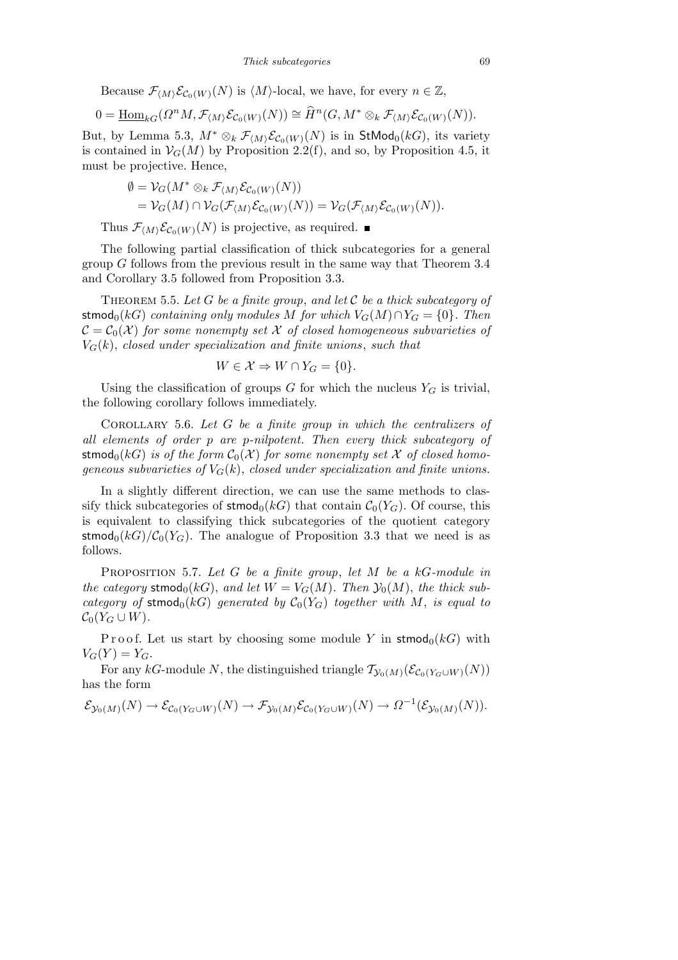Because  $\mathcal{F}_{\langle M \rangle} \mathcal{E}_{\mathcal{C}_0(W)}(N)$  is  $\langle M \rangle$ -local, we have, for every  $n \in \mathbb{Z}$ ,

$$
0 = \underline{\operatorname{Hom}}_{kG}(\Omega^n M, \mathcal{F}_{\langle M \rangle} \mathcal{E}_{\mathcal{C}_0(W)}(N)) \cong \widehat{H}^n(G, M^* \otimes_k \mathcal{F}_{\langle M \rangle} \mathcal{E}_{\mathcal{C}_0(W)}(N)).
$$

But, by Lemma 5.3,  $M^* \otimes_k \mathcal{F}_{\langle M \rangle} \mathcal{E}_{\mathcal{C}_0(W)}(N)$  is in  $\mathsf{StMod}_0(kG)$ , its variety is contained in  $V_G(M)$  by Proposition 2.2(f), and so, by Proposition 4.5, it must be projective. Hence,

$$
\varnothing = \mathcal{V}_G(M^* \otimes_k \mathcal{F}_{\langle M \rangle} \mathcal{E}_{\mathcal{C}_0(W)}(N))
$$
  
= 
$$
\mathcal{V}_G(M) \cap \mathcal{V}_G(\mathcal{F}_{\langle M \rangle} \mathcal{E}_{\mathcal{C}_0(W)}(N)) = \mathcal{V}_G(\mathcal{F}_{\langle M \rangle} \mathcal{E}_{\mathcal{C}_0(W)}(N)).
$$

Thus  $\mathcal{F}_{\langle M \rangle} \mathcal{E}_{\mathcal{C}_0(W)}(N)$  is projective, as required.

The following partial classification of thick subcategories for a general group *G* follows from the previous result in the same way that Theorem 3.4 and Corollary 3.5 followed from Proposition 3.3.

Theorem 5.5. *Let G be a finite group*, *and let C be a thick subcategory of*  ${\rm stmod}_0(kG)$  *containing only modules M for which*  $V_G(M) \cap Y_G = \{0\}$ *. Then*  $\mathcal{C} = \mathcal{C}_0(\mathcal{X})$  for some nonempty set X of closed homogeneous subvarieties of  $V_G(k)$ , *closed under specialization and finite unions*, *such that* 

$$
W \in \mathcal{X} \Rightarrow W \cap Y_G = \{0\}.
$$

Using the classification of groups  $G$  for which the nucleus  $Y_G$  is trivial, the following corollary follows immediately.

Corollary 5.6. *Let G be a finite group in which the centralizers of all elements of order p are p-nilpotent. Then every thick subcategory of* stmod<sub>0</sub>( $kG$ ) *is of the form*  $C_0(X)$  *for some nonempty set X of closed homogeneous subvarieties of*  $V_G(k)$ , *closed under specialization and finite unions.* 

In a slightly different direction, we can use the same methods to classify thick subcategories of  $\mathsf{stmod}_0(k)$  that contain  $\mathcal{C}_0(Y_G)$ . Of course, this is equivalent to classifying thick subcategories of the quotient category stmod<sub>0</sub>( $kG$ )/ $C_0(Y_G)$ . The analogue of Proposition 3.3 that we need is as follows.

Proposition 5.7. *Let G be a finite group*, *let M be a kG-module in the category* stmod<sub>0</sub>(*kG*), *and let*  $W = V_G(M)$ *. Then*  $\mathcal{Y}_0(M)$ *, the thick subcategory of* stmod<sub>0</sub>( $kG$ ) *generated by*  $C_0(Y_G)$  *together with M*, *is equal to*  $\mathcal{C}_0(Y_G \cup W)$ .

Proof. Let us start by choosing some module *Y* in stmod<sub>0</sub>( $kG$ ) with  $V_G(Y) = Y_G$ .

For any  $kG$ -module *N*, the distinguished triangle  $\mathcal{T}_{\mathcal{Y}_0(M)}(\mathcal{E}_{\mathcal{C}_0(Y_G \cup W)}(N))$ has the form

$$
\mathcal{E}_{\mathcal{Y}_0(M)}(N) \to \mathcal{E}_{\mathcal{C}_0(Y_G \cup W)}(N) \to \mathcal{F}_{\mathcal{Y}_0(M)} \mathcal{E}_{\mathcal{C}_0(Y_G \cup W)}(N) \to \Omega^{-1}(\mathcal{E}_{\mathcal{Y}_0(M)}(N)).
$$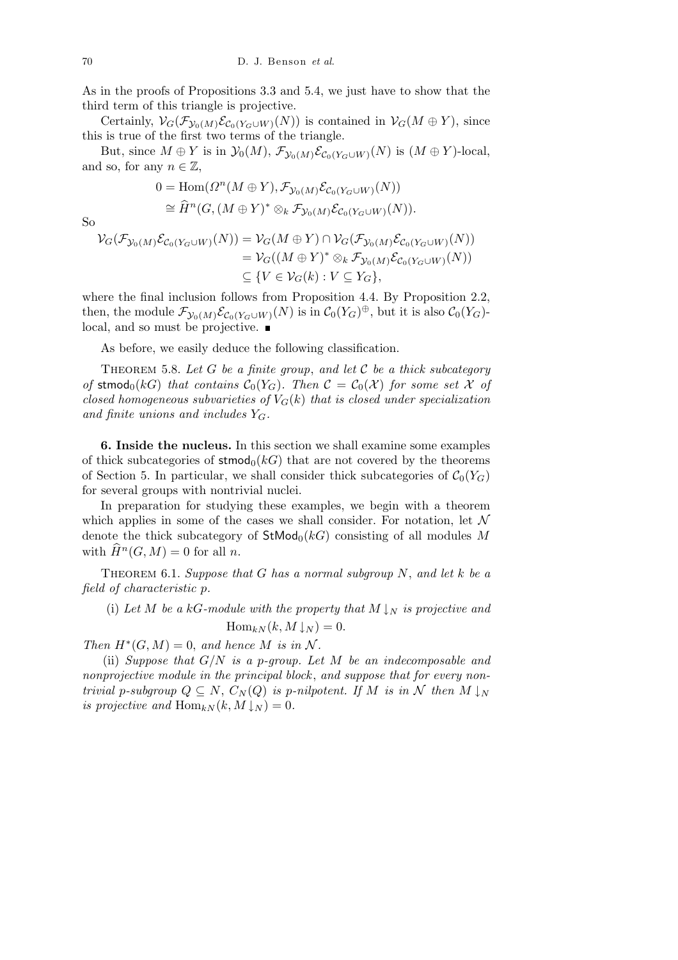As in the proofs of Propositions 3.3 and 5.4, we just have to show that the third term of this triangle is projective.

Certainly,  $V_G(\mathcal{F}_{\mathcal{Y}_0(M)}\mathcal{E}_{\mathcal{C}_0(Y_G\cup W)}(N))$  is contained in  $V_G(M \oplus Y)$ , since this is true of the first two terms of the triangle.

But, since  $M \oplus Y$  is in  $\mathcal{Y}_0(M)$ ,  $\mathcal{F}_{\mathcal{Y}_0(M)} \mathcal{E}_{\mathcal{C}_0(Y_G \cup W)}(N)$  is  $(M \oplus Y)$ -local, and so, for any  $n \in \mathbb{Z}$ ,

$$
0 = \text{Hom}(\Omega^n(M \oplus Y), \mathcal{F}_{\mathcal{Y}_0(M)} \mathcal{E}_{\mathcal{C}_0(Y_G \cup W)}(N))
$$
  
\n
$$
\cong \widehat{H}^n(G, (M \oplus Y)^* \otimes_k \mathcal{F}_{\mathcal{Y}_0(M)} \mathcal{E}_{\mathcal{C}_0(Y_G \cup W)}(N)).
$$

So

$$
\mathcal{V}_G(\mathcal{F}_{\mathcal{Y}_0(M)}\mathcal{E}_{\mathcal{C}_0(Y_G \cup W)}(N)) = \mathcal{V}_G(M \oplus Y) \cap \mathcal{V}_G(\mathcal{F}_{\mathcal{Y}_0(M)}\mathcal{E}_{\mathcal{C}_0(Y_G \cup W)}(N))
$$
  
=  $\mathcal{V}_G((M \oplus Y)^* \otimes_k \mathcal{F}_{\mathcal{Y}_0(M)}\mathcal{E}_{\mathcal{C}_0(Y_G \cup W)}(N))$   
\$\subseteq \{V \in \mathcal{V}\_G(k) : V \subseteq Y\_G\}\$,

where the final inclusion follows from Proposition 4.4. By Proposition 2.2, then, the module  $\mathcal{F}_{\mathcal{Y}_0(M)}\mathcal{E}_{\mathcal{C}_0(Y_G\cup W)}(N)$  is in  $\mathcal{C}_0(Y_G)^{\oplus}$ , but it is also  $\mathcal{C}_0(Y_G)^{\perp}$ local, and so must be projective.  $\blacksquare$ 

As before, we easily deduce the following classification.

THEOREM 5.8. Let  $G$  be a finite group, and let  $C$  be a thick subcategory *of* stmod<sub>0</sub>(kG) that contains  $C_0(Y_G)$ . Then  $C = C_0(X)$  for some set X of *closed homogeneous subvarieties of*  $V_G(k)$  *that is closed under specialization and finite unions and includes YG.*

**6. Inside the nucleus.** In this section we shall examine some examples of thick subcategories of  $\mathsf{stmod}_0(k)$  that are not covered by the theorems of Section 5. In particular, we shall consider thick subcategories of  $C_0(Y_G)$ for several groups with nontrivial nuclei.

In preparation for studying these examples, we begin with a theorem which applies in some of the cases we shall consider. For notation, let *N* denote the thick subcategory of  $\mathsf{StMod}_0(kG)$  consisting of all modules M with  $\widehat{H}^n(G,M) = 0$  for all *n*.

Theorem 6.1. *Suppose that G has a normal subgroup N*, *and let k be a field of characteristic p.*

(i) Let *M* be a kG-module with the property that  $M \downarrow_N$  is projective and  $\text{Hom}_{kN}(k, M \downarrow N) = 0.$ 

*Then*  $H^*(G, M) = 0$ , and hence *M* is in N.

(ii) *Suppose that G/N is a p-group. Let M be an indecomposable and nonprojective module in the principal block* , *and suppose that for every nontrivial p*-subgroup  $Q \subseteq N$ ,  $C_N(Q)$  *is p*-nilpotent. If M is in N then  $M \downarrow_N$ *is projective and*  $\text{Hom}_{kN}(k, M \downarrow_{N}) = 0$ .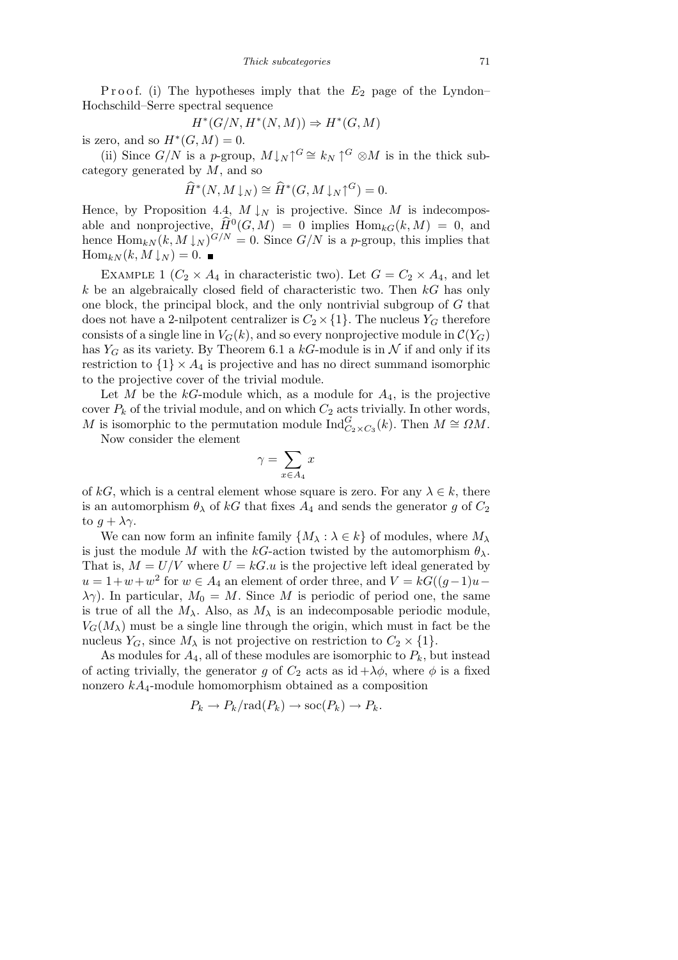P roof. (i) The hypotheses imply that the  $E_2$  page of the Lyndon– Hochschild–Serre spectral sequence

$$
H^*(G/N, H^*(N, M)) \Rightarrow H^*(G, M)
$$

is zero, and so  $H^*(G, M) = 0$ .

(ii) Since  $G/N$  is a *p*-group,  $M\downarrow_N\uparrow^G\cong k_N\uparrow^G\otimes M$  is in the thick subcategory generated by *M*, and so

$$
\widehat{H}^*(N, M \downarrow_N) \cong \widehat{H}^*(G, M \downarrow_N \uparrow^G) = 0.
$$

Hence, by Proposition 4.4,  $M \downarrow_N$  is projective. Since  $M$  is indecomposable and nonprojective,  $\widehat{H}^0(G,M) = 0$  implies  $\text{Hom}_{kG}(k,M) = 0$ , and hence  $\text{Hom}_{kN}(k, M \downarrow_N)^{G/N} = 0$ . Since  $G/N$  is a *p*-group, this implies that  $\text{Hom}_{kN}(k, M \downarrow N) = 0.$ 

EXAMPLE 1 ( $C_2 \times A_4$  in characteristic two). Let  $G = C_2 \times A_4$ , and let *k* be an algebraically closed field of characteristic two. Then *kG* has only one block, the principal block, and the only nontrivial subgroup of *G* that does not have a 2-nilpotent centralizer is  $C_2 \times \{1\}$ . The nucleus  $Y_G$  therefore consists of a single line in  $V_G(k)$ , and so every nonprojective module in  $\mathcal{C}(Y_G)$ has  $Y_G$  as its variety. By Theorem 6.1 a  $kG$ -module is in  $N$  if and only if its restriction to  $\{1\} \times A_4$  is projective and has no direct summand isomorphic to the projective cover of the trivial module.

Let *M* be the  $kG$ -module which, as a module for  $A_4$ , is the projective cover  $P_k$  of the trivial module, and on which  $C_2$  acts trivially. In other words, *M* is isomorphic to the permutation module  $\text{Ind}_{C_2 \times C_3}^G(k)$ . Then  $M \cong \Omega M$ .

Now consider the element

$$
\gamma = \sum_{x \in A_4} x
$$

of  $kG$ , which is a central element whose square is zero. For any  $\lambda \in k$ , there is an automorphism  $\theta_{\lambda}$  of kG that fixes  $A_4$  and sends the generator g of  $C_2$ to  $g + \lambda \gamma$ .

We can now form an infinite family  $\{M_\lambda : \lambda \in k\}$  of modules, where  $M_\lambda$ is just the module *M* with the *kG*-action twisted by the automorphism  $\theta_{\lambda}$ . That is,  $M = U/V$  where  $U = kG.u$  is the projective left ideal generated by  $u = 1 + w + w^2$  for  $w \in A_4$  an element of order three, and  $V = kG((g-1)u$ *λ*γ). In particular,  $M_0 = M$ . Since *M* is periodic of period one, the same is true of all the  $M_{\lambda}$ . Also, as  $M_{\lambda}$  is an indecomposable periodic module,  $V_G(M_\lambda)$  must be a single line through the origin, which must in fact be the nucleus  $Y_G$ , since  $M_\lambda$  is not projective on restriction to  $C_2 \times \{1\}$ .

As modules for  $A_4$ , all of these modules are isomorphic to  $P_k$ , but instead of acting trivially, the generator *g* of  $C_2$  acts as id  $+\lambda\phi$ , where  $\phi$  is a fixed nonzero *kA*4-module homomorphism obtained as a composition

$$
P_k \to P_k/\text{rad}(P_k) \to \text{soc}(P_k) \to P_k.
$$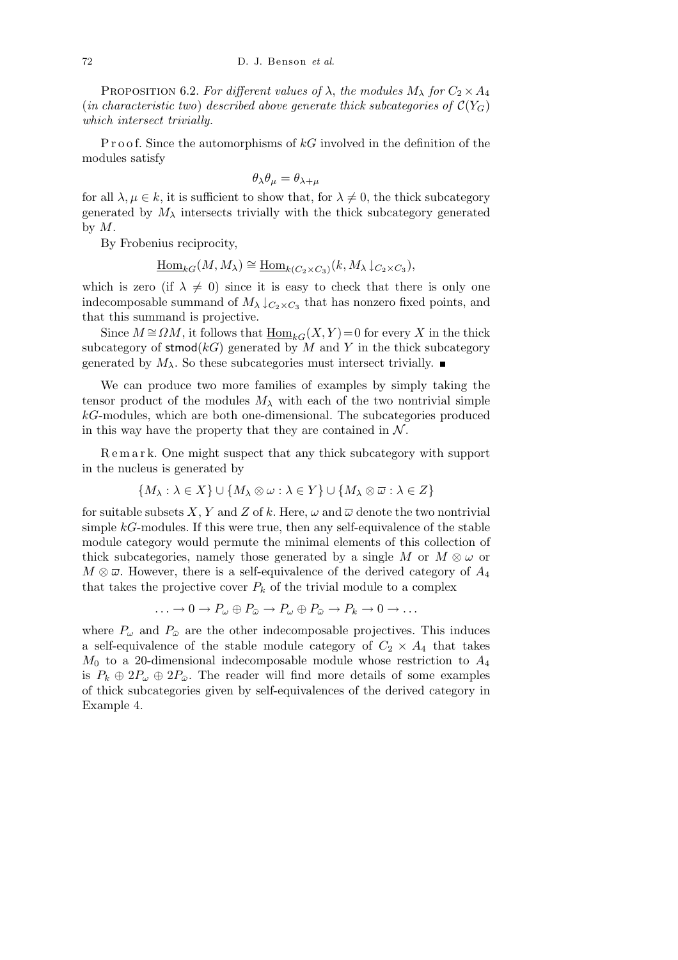PROPOSITION 6.2. *For different values of*  $\lambda$ , *the modules*  $M_{\lambda}$  *for*  $C_2 \times A_4$ (*in characteristic two*) *described above generate thick subcategories of*  $\mathcal{C}(Y_G)$ *which intersect trivially.*

P r o o f. Since the automorphisms of *kG* involved in the definition of the modules satisfy

$$
\theta_{\lambda}\theta_{\mu} = \theta_{\lambda+\mu}
$$

for all  $\lambda, \mu \in k$ , it is sufficient to show that, for  $\lambda \neq 0$ , the thick subcategory generated by  $M_{\lambda}$  intersects trivially with the thick subcategory generated by *M*.

By Frobenius reciprocity,

 $\underline{\text{Hom}}_{kG}(M, M_{\lambda}) \cong \underline{\text{Hom}}_{k(C_2 \times C_3)}(k, M_{\lambda} \downarrow_{C_2 \times C_3}),$ 

which is zero (if  $\lambda \neq 0$ ) since it is easy to check that there is only one indecomposable summand of  $M_{\lambda}$   $\downarrow$   $C_2 \times C_3$  that has nonzero fixed points, and that this summand is projective.

Since  $M \cong \Omega M$ , it follows that  $\underline{\text{Hom}}_{kG}(X, Y) = 0$  for every X in the thick subcategory of  $\mathsf{stmod}(k)$  generated by *M* and *Y* in the thick subcategory generated by  $M_{\lambda}$ . So these subcategories must intersect trivially.

We can produce two more families of examples by simply taking the tensor product of the modules  $M_{\lambda}$  with each of the two nontrivial simple *kG*-modules, which are both one-dimensional. The subcategories produced in this way have the property that they are contained in  $N$ .

R e m a r k. One might suspect that any thick subcategory with support in the nucleus is generated by

$$
\{M_{\lambda} : \lambda \in X\} \cup \{M_{\lambda} \otimes \omega : \lambda \in Y\} \cup \{M_{\lambda} \otimes \overline{\omega} : \lambda \in Z\}
$$

for suitable subsets *X*, *Y* and *Z* of *k*. Here,  $\omega$  and  $\overline{\omega}$  denote the two nontrivial simple *kG*-modules. If this were true, then any self-equivalence of the stable module category would permute the minimal elements of this collection of thick subcategories, namely those generated by a single *M* or  $M \otimes \omega$  or  $M \otimes \overline{\omega}$ . However, there is a self-equivalence of the derived category of  $A_4$ that takes the projective cover  $P_k$  of the trivial module to a complex

$$
\ldots \to 0 \to P_{\omega} \oplus P_{\bar{\omega}} \to P_{\omega} \oplus P_{\bar{\omega}} \to P_k \to 0 \to \ldots
$$

where  $P_\omega$  and  $P_{\bar{\omega}}$  are the other indecomposable projectives. This induces a self-equivalence of the stable module category of  $C_2 \times A_4$  that takes *M*<sup>0</sup> to a 20-dimensional indecomposable module whose restriction to *A*<sup>4</sup> is  $P_k \oplus 2P_\omega \oplus 2P_{\bar{\omega}}$ . The reader will find more details of some examples of thick subcategories given by self-equivalences of the derived category in Example 4.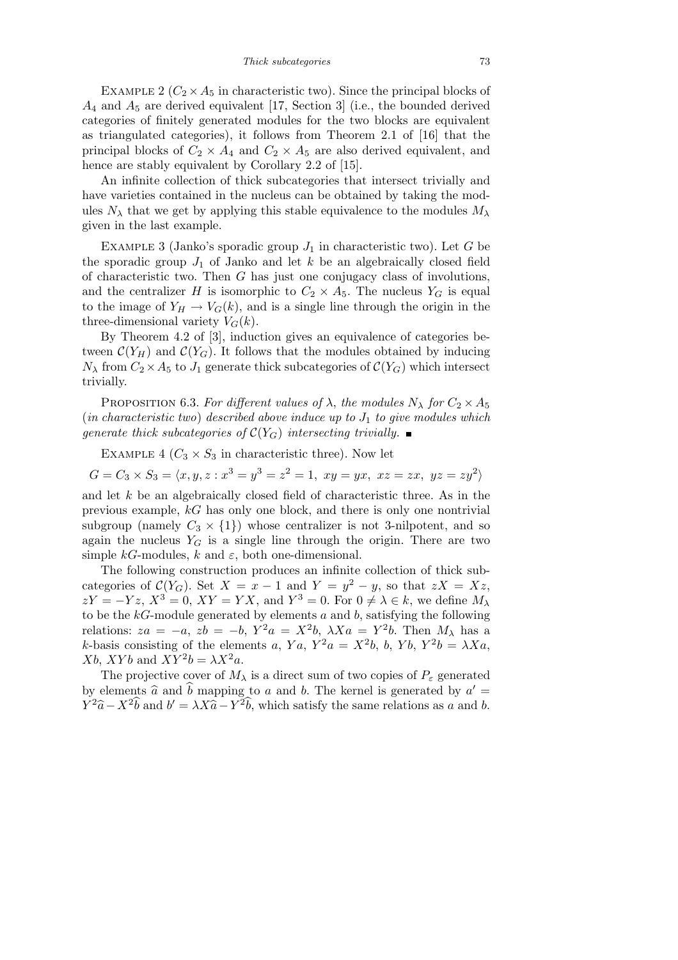EXAMPLE 2 ( $C_2 \times A_5$  in characteristic two). Since the principal blocks of *A*<sup>4</sup> and *A*<sup>5</sup> are derived equivalent [17, Section 3] (i.e., the bounded derived categories of finitely generated modules for the two blocks are equivalent as triangulated categories), it follows from Theorem 2.1 of [16] that the principal blocks of  $C_2 \times A_4$  and  $C_2 \times A_5$  are also derived equivalent, and hence are stably equivalent by Corollary 2.2 of [15].

An infinite collection of thick subcategories that intersect trivially and have varieties contained in the nucleus can be obtained by taking the modules  $N_\lambda$  that we get by applying this stable equivalence to the modules  $M_\lambda$ given in the last example.

EXAMPLE 3 (Janko's sporadic group  $J_1$  in characteristic two). Let  $G$  be the sporadic group  $J_1$  of Janko and let  $k$  be an algebraically closed field of characteristic two. Then *G* has just one conjugacy class of involutions, and the centralizer *H* is isomorphic to  $C_2 \times A_5$ . The nucleus  $Y_G$  is equal to the image of  $Y_H \to V_G(k)$ , and is a single line through the origin in the three-dimensional variety  $V_G(k)$ .

By Theorem 4.2 of [3], induction gives an equivalence of categories between  $\mathcal{C}(Y_H)$  and  $\mathcal{C}(Y_G)$ . It follows that the modules obtained by inducing  $N_{\lambda}$  from  $C_2 \times A_5$  to  $J_1$  generate thick subcategories of  $\mathcal{C}(Y_G)$  which intersect trivially.

PROPOSITION 6.3. *For different values of*  $\lambda$ , *the modules*  $N_{\lambda}$  *for*  $C_2 \times A_5$ (*in characteristic two*) *described above induce up to J*<sup>1</sup> *to give modules which generate thick subcategories of*  $C(Y_G)$  *intersecting trivially.* 

EXAMPLE 4 ( $C_3 \times S_3$  in characteristic three). Now let

 $G = C_3 \times S_3 = \langle x, y, z : x^3 = y^3 = z^2 = 1, xy = yx, xz = zx, yz = zy^2 \rangle$ 

and let *k* be an algebraically closed field of characteristic three. As in the previous example, *kG* has only one block, and there is only one nontrivial subgroup (namely  $C_3 \times \{1\}$ ) whose centralizer is not 3-nilpotent, and so again the nucleus  $Y_G$  is a single line through the origin. There are two simple  $kG$ -modules,  $k$  and  $\varepsilon$ , both one-dimensional.

The following construction produces an infinite collection of thick subcategories of  $C(Y_G)$ . Set  $X = x - 1$  and  $Y = y^2 - y$ , so that  $zX = Xz$ ,  $ZY = -Yz$ ,  $X^3 = 0$ ,  $XY = YX$ , and  $Y^3 = 0$ . For  $0 \neq \lambda \in k$ , we define  $M_{\lambda}$ to be the *kG*-module generated by elements *a* and *b*, satisfying the following relations:  $za = -a$ ,  $zb = -b$ ,  $Y^2a = X^2b$ ,  $\lambda Xa = Y^2b$ . Then  $M_{\lambda}$  has a *k*-basis consisting of the elements *a*,  $Ya$ ,  $Y^2a = X^2b$ , *b*,  $Yb$ ,  $Y^2b = \lambda Xa$ ,  $Xb$ ,  $XYb$  and  $XY^{2}b = \lambda X^{2}a$ .

The projective cover of  $M_{\lambda}$  is a direct sum of two copies of  $P_{\varepsilon}$  generated by elements  $\hat{a}$  and  $\hat{b}$  mapping to *a* and *b*. The kernel is generated by  $a' =$  $Y^2\hat{a} - X^2\hat{b}$  and  $b' = \lambda X \hat{a} - Y^2\hat{b}$ , which satisfy the same relations as *a* and *b*.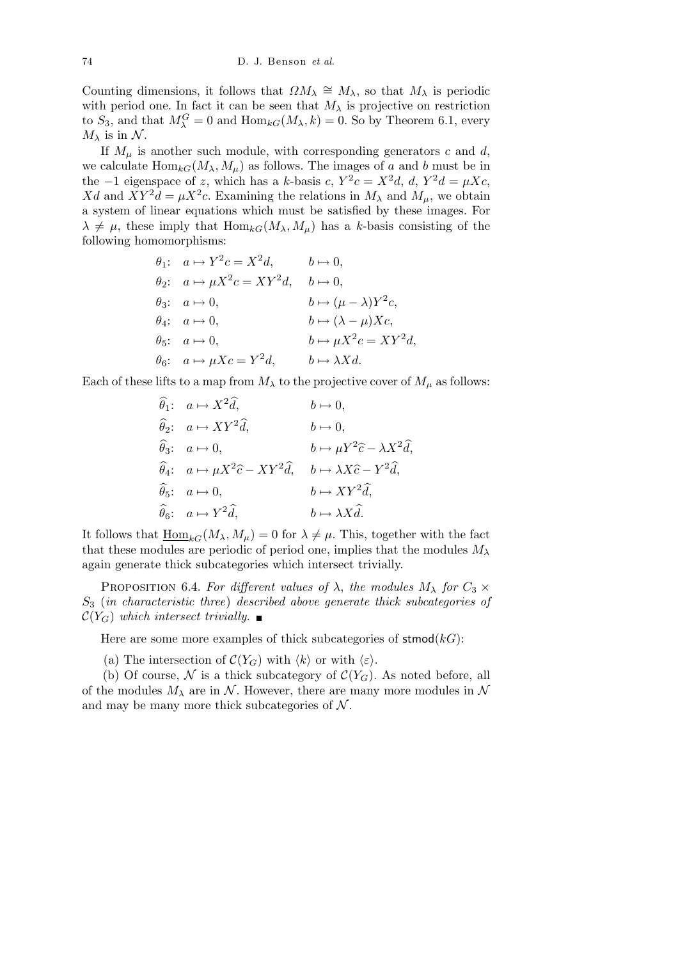Counting dimensions, it follows that  $\Omega M_\lambda \cong M_\lambda$ , so that  $M_\lambda$  is periodic with period one. In fact it can be seen that  $M_{\lambda}$  is projective on restriction to  $S_3$ , and that  $M_{\lambda}^G = 0$  and  $\text{Hom}_{kG}(M_{\lambda}, k) = 0$ . So by Theorem 6.1, every  $M_{\lambda}$  is in  $\mathcal{N}$ .

If  $M_\mu$  is another such module, with corresponding generators *c* and *d*, we calculate  $\text{Hom}_{kG}(M_{\lambda}, M_{\mu})$  as follows. The images of *a* and *b* must be in the  $-1$  eigenspace of *z*, which has a *k*-basis *c*,  $Y^2c = X^2d$ , *d*,  $Y^2d = \mu Xc$ , Xd and  $XY^2d = \mu X^2c$ . Examining the relations in  $M_\lambda$  and  $M_\mu$ , we obtain a system of linear equations which must be satisfied by these images. For  $\lambda \neq \mu$ , these imply that  $\text{Hom}_{kG}(M_{\lambda}, M_{\mu})$  has a *k*-basis consisting of the following homomorphisms:

$$
\theta_1: \quad a \mapsto Y^2c = X^2d, \qquad b \mapsto 0,
$$
  
\n
$$
\theta_2: \quad a \mapsto \mu X^2c = XY^2d, \qquad b \mapsto 0,
$$
  
\n
$$
\theta_3: \quad a \mapsto 0, \qquad b \mapsto (\mu - \lambda)Y^2c,
$$
  
\n
$$
\theta_4: \quad a \mapsto 0, \qquad b \mapsto (\lambda - \mu)Xc,
$$
  
\n
$$
\theta_5: \quad a \mapsto 0, \qquad b \mapsto \mu X^2c = XY^2d,
$$
  
\n
$$
\theta_6: \quad a \mapsto \mu Xc = Y^2d, \qquad b \mapsto \lambda Xd.
$$

Each of these lifts to a map from  $M_{\lambda}$  to the projective cover of  $M_{\mu}$  as follows:

$$
\hat{\theta}_1: \quad a \mapsto X^2 \hat{d}, \quad b \mapsto 0,
$$
\n
$$
\hat{\theta}_2: \quad a \mapsto XY^2 \hat{d}, \quad b \mapsto 0,
$$
\n
$$
\hat{\theta}_3: \quad a \mapsto 0, \quad b \mapsto \mu Y^2 \hat{c} - \lambda X^2 \hat{d},
$$
\n
$$
\hat{\theta}_4: \quad a \mapsto \mu X^2 \hat{c} - XY^2 \hat{d}, \quad b \mapsto \lambda X \hat{c} - Y^2 \hat{d},
$$
\n
$$
\hat{\theta}_5: \quad a \mapsto 0, \quad b \mapsto XY^2 \hat{d},
$$
\n
$$
\hat{\theta}_6: \quad a \mapsto Y^2 \hat{d}, \quad b \mapsto \lambda X \hat{d}.
$$

It follows that  $\underline{\text{Hom}}_{kG}(M_{\lambda}, M_{\mu}) = 0$  for  $\lambda \neq \mu$ . This, together with the fact that these modules are periodic of period one, implies that the modules *M<sup>λ</sup>* again generate thick subcategories which intersect trivially.

PROPOSITION 6.4. *For different values of*  $\lambda$ , *the modules*  $M_{\lambda}$  *for*  $C_3 \times$ *S*<sup>3</sup> (*in characteristic three*) *described above generate thick subcategories of*  $\mathcal{C}(Y_G)$  *which intersect trivially.* 

Here are some more examples of thick subcategories of  $\mathsf{stmod}(k)$ :

(a) The intersection of  $\mathcal{C}(Y_G)$  with  $\langle k \rangle$  or with  $\langle \varepsilon \rangle$ .

(b) Of course,  $\mathcal N$  is a thick subcategory of  $\mathcal C(Y_G)$ . As noted before, all of the modules  $M_{\lambda}$  are in  $\mathcal{N}$ . However, there are many more modules in  $\mathcal{N}$ and may be many more thick subcategories of *N* .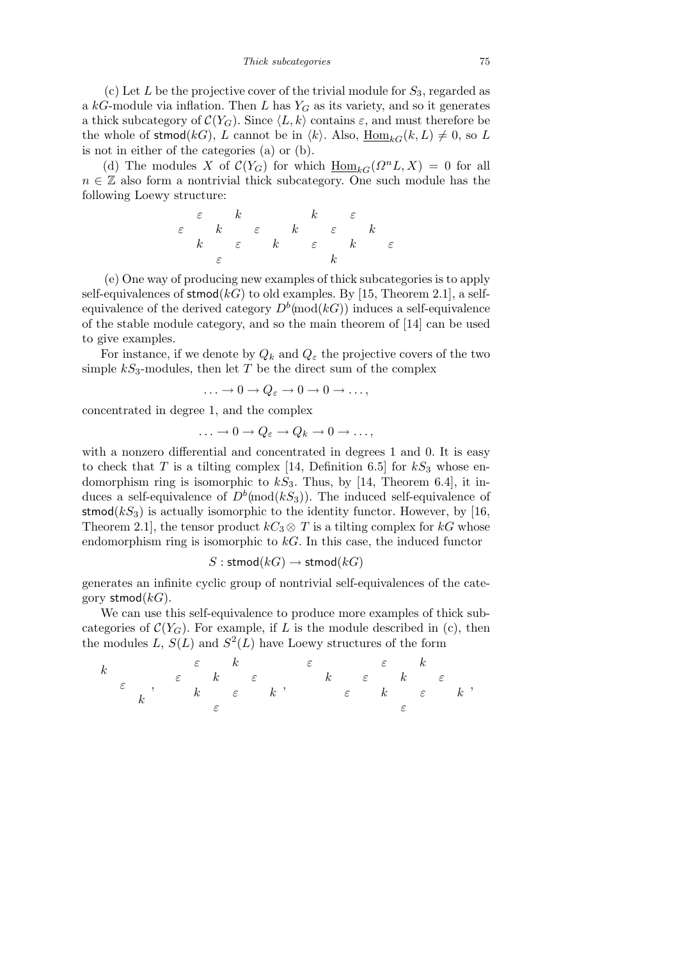(c) Let *L* be the projective cover of the trivial module for *S*3, regarded as a *kG*-module via inflation. Then *L* has *Y<sup>G</sup>* as its variety, and so it generates a thick subcategory of  $C(Y_G)$ . Since  $\langle L, k \rangle$  contains  $\varepsilon$ , and must therefore be the whole of stmod(*kG*), *L* cannot be in  $\langle k \rangle$ . Also,  $\underline{\text{Hom}}_{kG}(k, L) \neq 0$ , so *L* is not in either of the categories (a) or (b).

(d) The modules *X* of  $\mathcal{C}(Y_G)$  for which  $\underline{\text{Hom}}_{kG}(\Omega^n L, X) = 0$  for all *n* ∈ Z also form a nontrivial thick subcategory. One such module has the following Loewy structure:

$$
\begin{array}{ccccc}\n\varepsilon & k & & k & \varepsilon \\
\varepsilon & k & \varepsilon & k & \varepsilon \\
k & \varepsilon & k & \varepsilon & k \\
\varepsilon & & & k & \varepsilon\n\end{array}
$$

(e) One way of producing new examples of thick subcategories is to apply self-equivalences of stmod( $kG$ ) to old examples. By [15, Theorem 2.1], a selfequivalence of the derived category  $D^b$ (mod( $kG$ )) induces a self-equivalence of the stable module category, and so the main theorem of [14] can be used to give examples.

For instance, if we denote by  $Q_k$  and  $Q_\varepsilon$  the projective covers of the two simple  $kS_3$ -modules, then let *T* be the direct sum of the complex

$$
\ldots \to 0 \to Q_{\varepsilon} \to 0 \to 0 \to \ldots,
$$

concentrated in degree 1, and the complex

$$
\ldots \to 0 \to Q_{\varepsilon} \to Q_k \to 0 \to \ldots,
$$

with a nonzero differential and concentrated in degrees 1 and 0. It is easy to check that *T* is a tilting complex [14, Definition 6.5] for  $kS_3$  whose endomorphism ring is isomorphic to  $kS_3$ . Thus, by [14, Theorem 6.4], it induces a self-equivalence of  $D^b$ (mod $(kS_3)$ ). The induced self-equivalence of stmod $(kS_3)$  is actually isomorphic to the identity functor. However, by [16, Theorem 2.1], the tensor product  $kC_3 \otimes T$  is a tilting complex for  $kG$  whose endomorphism ring is isomorphic to *kG*. In this case, the induced functor

 $S:$  stmod $(kG) \rightarrow$  stmod $(kG)$ 

generates an infinite cyclic group of nontrivial self-equivalences of the category stmod(*kG*).

We can use this self-equivalence to produce more examples of thick subcategories of  $\mathcal{C}(Y_G)$ . For example, if *L* is the module described in (c), then the modules  $L, S(L)$  and  $S^2(L)$  have Loewy structures of the form

*k ε k , ε k ε k ε k ε k ε , ε ε k k ε k ε ε k ε k ε ,*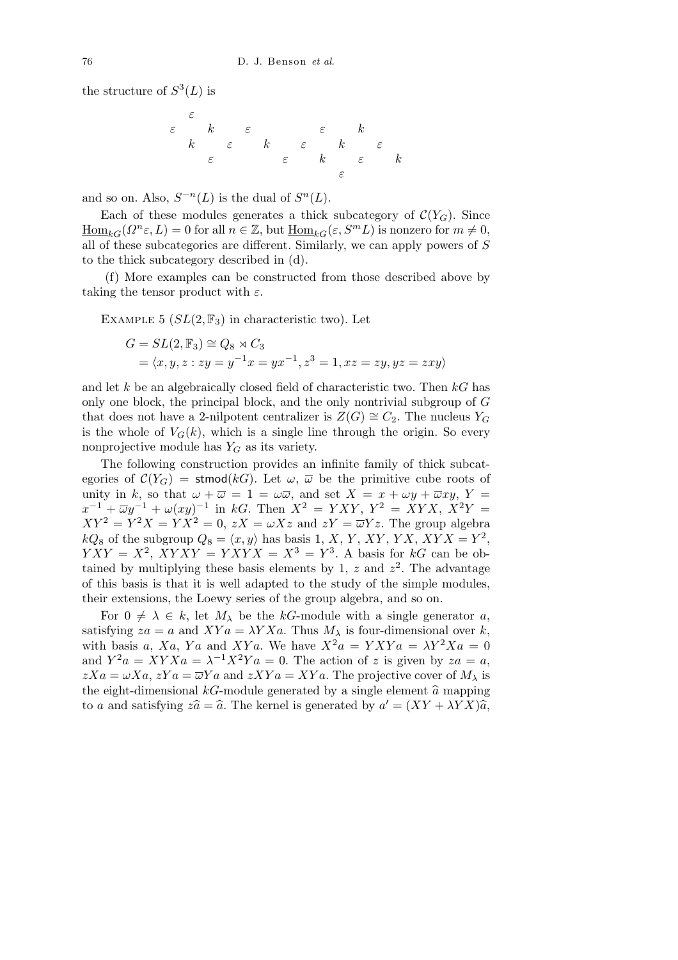the structure of  $S^3(L)$  is

*ε ε k ε ε k k ε k ε k ε ε ε k ε k ε*

and so on. Also,  $S^{-n}(L)$  is the dual of  $S^{n}(L)$ .

Each of these modules generates a thick subcategory of  $C(Y_G)$ . Since  $\underline{\text{Hom}}_{kG}(\Omega^n \varepsilon, L) = 0$  for all  $n \in \mathbb{Z}$ , but  $\underline{\text{Hom}}_{kG}(\varepsilon, S^m L)$  is nonzero for  $m \neq 0$ , all of these subcategories are different. Similarly, we can apply powers of *S* to the thick subcategory described in (d).

(f) More examples can be constructed from those described above by taking the tensor product with *ε*.

EXAMPLE 5  $(SL(2, \mathbb{F}_3))$  in characteristic two). Let

$$
G = SL(2, \mathbb{F}_3) \cong Q_8 \rtimes C_3
$$
  
=  $\langle x, y, z : zy = y^{-1}x = yx^{-1}, z^3 = 1, xz = zy, yz = zxy \rangle$ 

and let *k* be an algebraically closed field of characteristic two. Then *kG* has only one block, the principal block, and the only nontrivial subgroup of *G* that does not have a 2-nilpotent centralizer is  $Z(G) \cong C_2$ . The nucleus  $Y_G$ is the whole of  $V_G(k)$ , which is a single line through the origin. So every nonprojective module has *Y<sup>G</sup>* as its variety.

The following construction provides an infinite family of thick subcategories of  $\mathcal{C}(Y_G)$  = stmod(*kG*). Let  $\omega$ ,  $\overline{\omega}$  be the primitive cube roots of unity in k, so that  $\omega + \overline{\omega} = 1 = \omega \overline{\omega}$ , and set  $X = x + \omega y + \overline{\omega}xy$ ,  $Y =$  $x^{-1} + \overline{\omega}y^{-1} + \omega(xy)^{-1}$  in *kG*. Then  $X^2 = YXY$ ,  $Y^2 = XYX$ ,  $X^2Y =$  $XY^2 = Y^2X = YX^2 = 0$ ,  $zX = \omega Xz$  and  $zY = \overline{\omega}Yz$ . The group algebra  $kQ_8$  of the subgroup  $Q_8 = \langle x, y \rangle$  has basis 1, *X*, *Y*, *XY*, *YX*, *XYX* = *Y*<sup>2</sup>,  $YXY = X^2$ ,  $XYXY = YXYX = X^3 = Y^3$ . A basis for *kG* can be obtained by multiplying these basis elements by 1,  $z$  and  $z^2$ . The advantage of this basis is that it is well adapted to the study of the simple modules, their extensions, the Loewy series of the group algebra, and so on.

For  $0 \neq \lambda \in k$ , let  $M_{\lambda}$  be the *kG*-module with a single generator *a*, satisfying  $za = a$  and  $XYa = \lambda YXa$ . Thus  $M_{\lambda}$  is four-dimensional over *k*, with basis *a*,  $Xa$ ,  $Ya$  and  $XYa$ . We have  $X^2a = YXYa = \lambda Y^2Xa = 0$ and  $Y^2a = XYXa = \lambda^{-1}X^2Ya = 0$ . The action of *z* is given by  $za = a$ ,  $zXa = \omega Xa$ ,  $zYa = \overline{\omega}Ya$  and  $zXYa = XYa$ . The projective cover of  $M_{\lambda}$  is the eight-dimensional  $k$ G-module generated by a single element  $\hat{a}$  mapping to *a* and satisfying  $z\hat{a} = \hat{a}$ . The kernel is generated by  $a' = (XY + \lambda YX)\hat{a}$ ,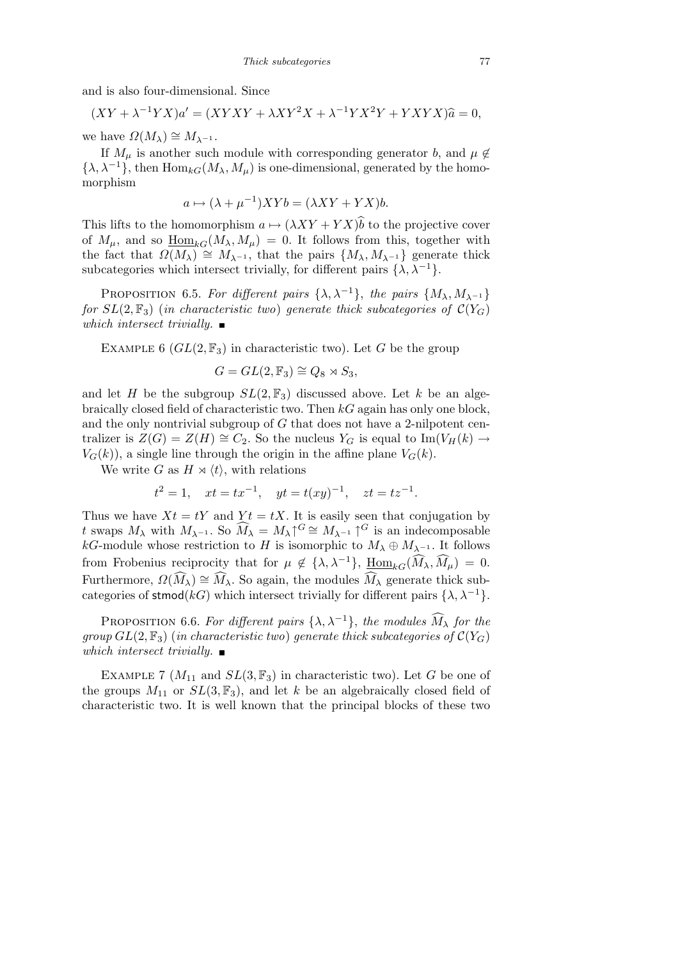and is also four-dimensional. Since

 $(XY + \lambda^{-1}YX)a' = (XYXY + \lambda XY^{2}X + \lambda^{-1}YX^{2}Y + YXYX)\hat{a} = 0,$ 

we have  $\Omega(M_{\lambda}) \cong M_{\lambda^{-1}}$ .

If  $M_\mu$  is another such module with corresponding generator *b*, and  $\mu \notin$  $\{\lambda, \lambda^{-1}\}\)$ , then  $\text{Hom}_{kG}(M_{\lambda}, M_{\mu})$  is one-dimensional, generated by the homomorphism

$$
a \mapsto (\lambda + \mu^{-1})XYb = (\lambda XY + YX)b.
$$

This lifts to the homomorphism  $a \mapsto (\lambda XY + YX)\hat{b}$  to the projective cover of  $M_{\mu}$ , and so  $\underline{\text{Hom}}_{kG}(M_{\lambda}, M_{\mu}) = 0$ . It follows from this, together with the fact that  $\Omega(M_{\lambda}) \cong M_{\lambda^{-1}}$ , that the pairs  $\{M_{\lambda}, M_{\lambda^{-1}}\}$  generate thick subcategories which intersect trivially, for different pairs  $\{\lambda, \lambda^{-1}\}.$ 

PROPOSITION 6.5. *For different pairs*  $\{\lambda, \lambda^{-1}\}$ , *the pairs*  $\{M_{\lambda}, M_{\lambda^{-1}}\}$ *for*  $SL(2, \mathbb{F}_3)$  (*in characteristic two*) *generate thick subcategories of*  $\mathcal{C}(Y_G)$ *which intersect trivially.*

EXAMPLE 6  $(GL(2, \mathbb{F}_3)$  in characteristic two). Let *G* be the group

$$
G = GL(2, \mathbb{F}_3) \cong Q_8 \rtimes S_3,
$$

and let *H* be the subgroup  $SL(2, \mathbb{F}_3)$  discussed above. Let *k* be an algebraically closed field of characteristic two. Then *kG* again has only one block, and the only nontrivial subgroup of *G* that does not have a 2-nilpotent centralizer is  $Z(G) = Z(H) \cong C_2$ . So the nucleus  $Y_G$  is equal to Im( $V_H(k) \rightarrow$  $V_G(k)$ , a single line through the origin in the affine plane  $V_G(k)$ .

We write *G* as  $H \times \langle t \rangle$ , with relations

$$
t^2 = 1
$$
,  $xt = tx^{-1}$ ,  $yt = t(xy)^{-1}$ ,  $zt = tz^{-1}$ .

Thus we have  $Xt = tY$  and  $Yt = tX$ . It is easily seen that conjugation by *t* swaps  $M_{\lambda}$  with  $M_{\lambda^{-1}}$ . So  $\widehat{M}_{\lambda} = M_{\lambda} \uparrow G \cong M_{\lambda^{-1}} \uparrow G$  is an indecomposable *kG*-module whose restriction to *H* is isomorphic to  $M_{\lambda} \oplus M_{\lambda^{-1}}$ . It follows from Frobenius reciprocity that for  $\mu \notin {\{\lambda, \lambda^{-1}\}}$ ,  $\underline{\text{Hom}}_{kG}(\widehat{M}_{\lambda}, \widehat{M}_{\mu}) = 0$ . Furthermore,  $\Omega(\widehat{M}_{\lambda}) \cong \widehat{M}_{\lambda}$ . So again, the modules  $\widehat{M}_{\lambda}$  generate thick subcategories of stmod( $kG$ ) which intersect trivially for different pairs  $\{\lambda, \lambda^{-1}\}$ .

PROPOSITION 6.6. For different pairs  $\{\lambda, \lambda^{-1}\}$ , the modules  $\widehat{M}_{\lambda}$  for the *group*  $GL(2, \mathbb{F}_3)$  (*in characteristic two*) *generate thick subcategories of*  $C(Y_G)$ *which intersect trivially.*

EXAMPLE 7  $(M_{11}$  and  $SL(3, \mathbb{F}_3)$  in characteristic two). Let *G* be one of the groups  $M_{11}$  or  $SL(3, \mathbb{F}_3)$ , and let *k* be an algebraically closed field of characteristic two. It is well known that the principal blocks of these two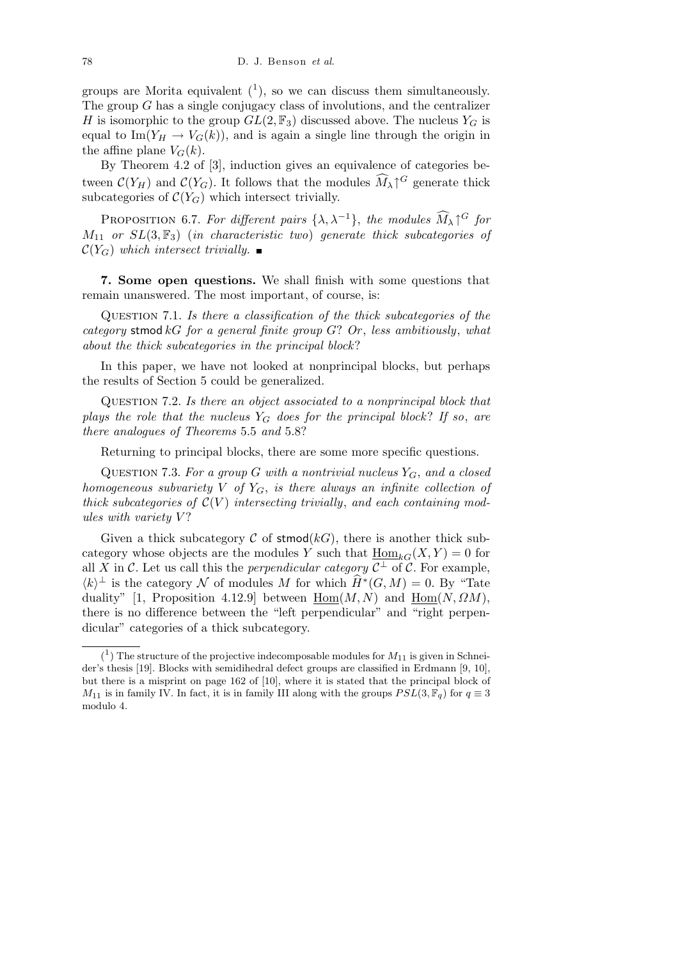groups are Morita equivalent  $(1)$ , so we can discuss them simultaneously. The group *G* has a single conjugacy class of involutions, and the centralizer *H* is isomorphic to the group  $GL(2, \mathbb{F}_3)$  discussed above. The nucleus  $Y_G$  is equal to Im( $Y_H \rightarrow V_G(k)$ ), and is again a single line through the origin in the affine plane  $V_G(k)$ .

By Theorem 4.2 of [3], induction gives an equivalence of categories between  $C(Y_H)$  and  $C(Y_G)$ . It follows that the modules  $\widehat{M}_{\lambda} \uparrow^G$  generate thick subcategories of  $C(Y_G)$  which intersect trivially.

PROPOSITION 6.7. For different pairs  $\{\lambda, \lambda^{-1}\}$ , the modules  $\widehat{M}_{\lambda} \uparrow^G$  for *M*<sup>11</sup> *or SL*(3*,* F3) (*in characteristic two*) *generate thick subcategories of*  $\mathcal{C}(Y_G)$  *which intersect trivially.* 

**7. Some open questions.** We shall finish with some questions that remain unanswered. The most important, of course, is:

Question 7.1. *Is there a classification of the thick subcategories of the category* stmod *kG for a general finite group G*? *Or* , *less ambitiously*, *what about the thick subcategories in the principal block* ?

In this paper, we have not looked at nonprincipal blocks, but perhaps the results of Section 5 could be generalized.

Question 7.2. *Is there an object associated to a nonprincipal block that plays the role that the nucleus*  $Y_G$  *does for the principal block? If so, are there analogues of Theorems* 5*.*5 *and* 5*.*8?

Returning to principal blocks, there are some more specific questions.

QUESTION 7.3. For a group *G* with a nontrivial nucleus  $Y_G$ , and a closed *homogeneous subvariety V of YG*, *is there always an infinite collection of thick subcategories of*  $\mathcal{C}(V)$  *intersecting trivially*, and each containing mod*ules with variety V* ?

Given a thick subcategory  $\mathcal C$  of stmod( $kG$ ), there is another thick subcategory whose objects are the modules *Y* such that  $\underline{\text{Hom}}_{kG}(X, Y) = 0$  for all *X* in *C*. Let us call this the *perpendicular category*  $C^{\perp}$  of *C*. For example,  $\langle k \rangle$ <sup> $\perp$ </sup> is the category *N* of modules *M* for which  $\widehat{H}^*(G, M) = 0$ . By "Tate duality" [1, Proposition 4.12.9] between  $Hom(M, N)$  and  $Hom(N, \Omega M)$ , there is no difference between the "left perpendicular" and "right perpendicular" categories of a thick subcategory.

 $(1)$  The structure of the projective indecomposable modules for  $M_{11}$  is given in Schneider's thesis [19]. Blocks with semidihedral defect groups are classified in Erdmann [9, 10], but there is a misprint on page 162 of [10], where it is stated that the principal block of *M*<sub>11</sub> is in family IV. In fact, it is in family III along with the groups  $PSL(3, \mathbb{F}_q)$  for  $q \equiv 3$ modulo 4.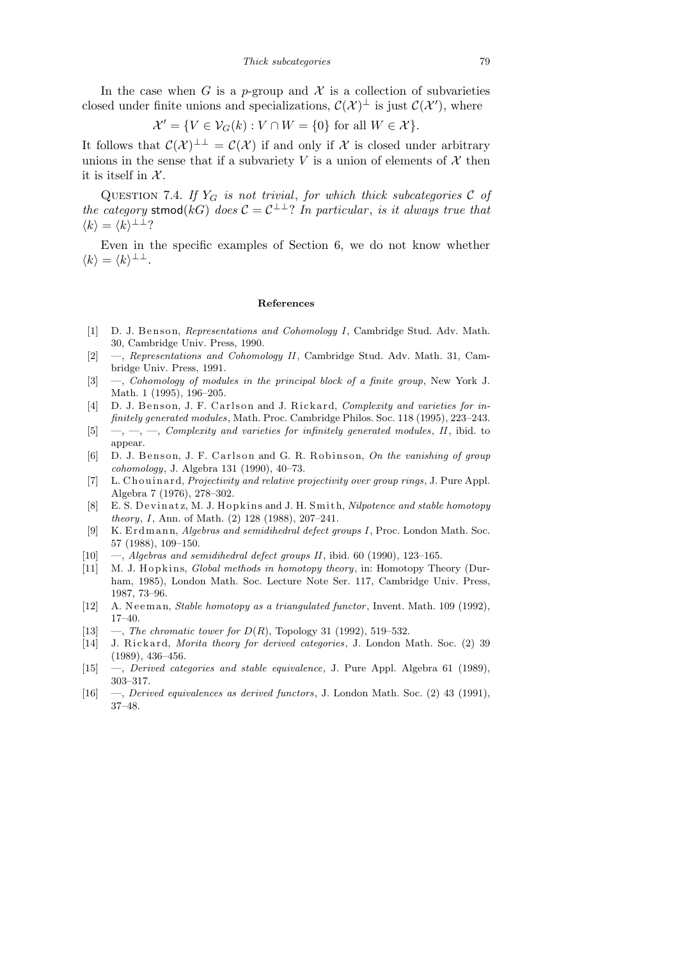In the case when *G* is a *p*-group and  $\mathcal X$  is a collection of subvarieties closed under finite unions and specializations,  $\mathcal{C}(\mathcal{X})^{\perp}$  is just  $\mathcal{C}(\mathcal{X}')$ , where

$$
\mathcal{X}' = \{ V \in \mathcal{V}_G(k) : V \cap W = \{0\} \text{ for all } W \in \mathcal{X} \}.
$$

It follows that  $\mathcal{C}(\mathcal{X})^{\perp \perp} = \mathcal{C}(\mathcal{X})$  if and only if X is closed under arbitrary unions in the sense that if a subvariety *V* is a union of elements of  $X$  then it is itself in *X* .

QUESTION 7.4. If  $Y_G$  is not trivial, for which thick subcategories  $C$  of *the category* stmod( $kG$ ) *does*  $C = C^{\perp \perp}$ ? *In particular, is it always true that*  $\langle k \rangle = \langle k \rangle$ <sup>⊥⊥</sup>?

Even in the specific examples of Section 6, we do not know whether  $\langle k \rangle = \langle k \rangle^{\perp \perp}.$ 

### **References**

- [1] D. J. Benson, *Representations and Cohomology I*, Cambridge Stud. Adv. Math. 30, Cambridge Univ. Press, 1990.
- [2] —, *Representations and Cohomology II*, Cambridge Stud. Adv. Math. 31, Cambridge Univ. Press, 1991.
- [3] —, *Cohomology of modules in the principal block of a finite group*, New York J. Math. 1 (1995), 196–205.
- [4] D. J. Benson, J. F. Carlson and J. Rickard, *Complexity and varieties for infinitely generated modules*, Math. Proc. Cambridge Philos. Soc. 118 (1995), 223–243.
- [5] —, —, —, *Complexity and varieties for infinitely generated modules*, *II*, ibid. to appear.
- [6] D. J. Benson, J. F. Carlson and G. R. Robinson, *On the vanishing of group cohomology*, J. Algebra 131 (1990), 40–73.
- [7] L. Chouinard, *Projectivity and relative projectivity over group rings*, J. Pure Appl. Algebra 7 (1976), 278–302.
- [8] E. S. Devinatz, M. J. Hopkins and J. H. Smith, *Nilpotence and stable homotopy theory*, *I*, Ann. of Math. (2) 128 (1988), 207–241.
- [9] K. Erdmann, *Algebras and semidihedral defect groups I*, Proc. London Math. Soc. 57 (1988), 109–150.
- [10] —, *Algebras and semidihedral defect groups II*, ibid. 60 (1990), 123–165.
- [11] M. J. Hopkins, *Global methods in homotopy theory*, in: Homotopy Theory (Durham, 1985), London Math. Soc. Lecture Note Ser. 117, Cambridge Univ. Press, 1987, 73–96.
- [12] A. Neeman, *Stable homotopy as a triangulated functor*, Invent. Math. 109 (1992), 17–40.
- [13]  $-$ , *The chromatic tower for*  $D(R)$ , Topology 31 (1992), 519–532.
- [14] J. Rickard, *Morita theory for derived categories*, J. London Math. Soc. (2) 39 (1989), 436–456.
- [15] —, *Derived categories and stable equivalence*, J. Pure Appl. Algebra 61 (1989), 303–317.
- [16] —, *Derived equivalences as derived functors*, J. London Math. Soc. (2) 43 (1991), 37–48.